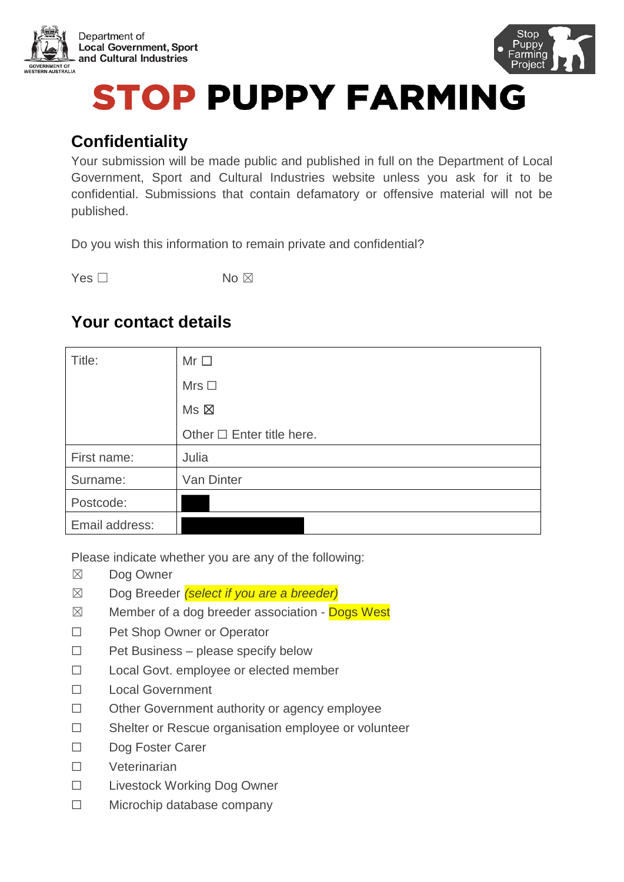



# **STOP PUPPY FARMING**

# **Confidentiality**

Your submission will be made public and published in full on the Department of Local Government, Sport and Cultural Industries website unless you ask for it to be confidential. Submissions that contain defamatory or offensive material will not be published.

Do you wish this information to remain private and confidential?

Yes □ No ⊠

# **Your contact details**

| Title:         | $Mr\Box$                       |
|----------------|--------------------------------|
|                | Mrs $\Box$                     |
|                | Ms >                           |
|                | Other $\Box$ Enter title here. |
| First name:    | Julia                          |
| Surname:       | Van Dinter                     |
| Postcode:      |                                |
| Email address: |                                |

Please indicate whether you are any of the following:

- ☒ Dog Owner
- ☒ Dog Breeder *(select if you are a breeder)*
- $\boxtimes$  Member of a dog breeder association Dogs West
- ☐ Pet Shop Owner or Operator
- ☐ Pet Business please specify below
- ☐ Local Govt. employee or elected member
- ☐ Local Government
- ☐ Other Government authority or agency employee
- ☐ Shelter or Rescue organisation employee or volunteer
- ☐ Dog Foster Carer
- ☐ Veterinarian
- ☐ Livestock Working Dog Owner
- ☐ Microchip database company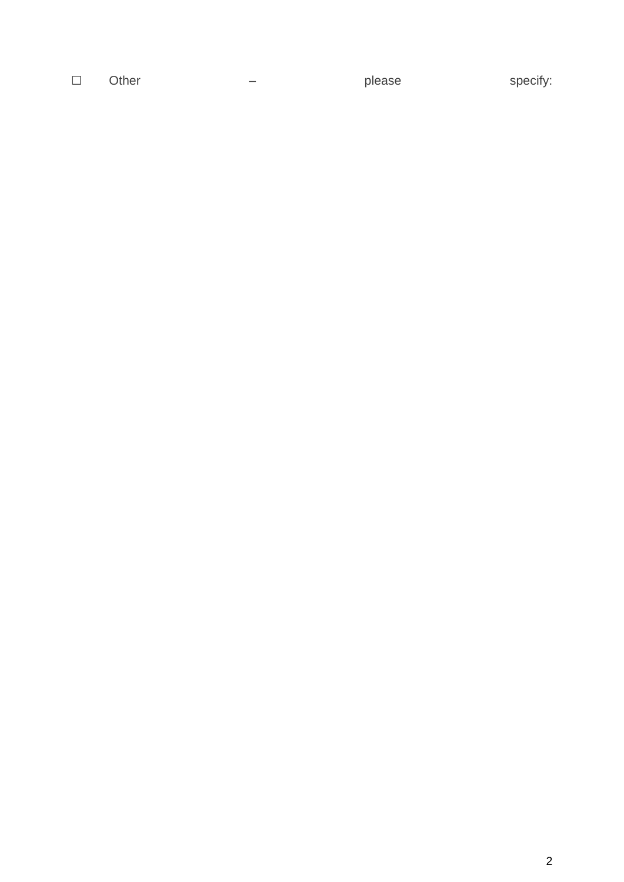□ Other – please specify: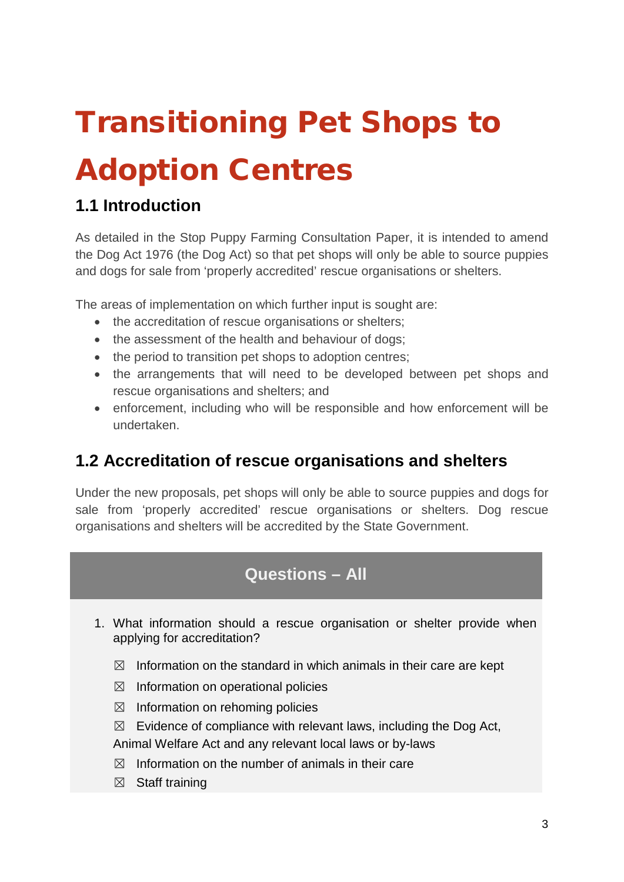# Transitioning Pet Shops to

# Adoption Centres

# **1.1 Introduction**

As detailed in the Stop Puppy Farming Consultation Paper, it is intended to amend the Dog Act 1976 (the Dog Act) so that pet shops will only be able to source puppies and dogs for sale from 'properly accredited' rescue organisations or shelters.

The areas of implementation on which further input is sought are:

- the accreditation of rescue organisations or shelters;
- the assessment of the health and behaviour of dogs;
- the period to transition pet shops to adoption centres;
- the arrangements that will need to be developed between pet shops and rescue organisations and shelters; and
- enforcement, including who will be responsible and how enforcement will be undertaken.

## **1.2 Accreditation of rescue organisations and shelters**

Under the new proposals, pet shops will only be able to source puppies and dogs for sale from 'properly accredited' rescue organisations or shelters. Dog rescue organisations and shelters will be accredited by the State Government.

## **Questions – All**

- 1. What information should a rescue organisation or shelter provide when applying for accreditation?
	- $\boxtimes$  Information on the standard in which animals in their care are kept
	- $\boxtimes$  Information on operational policies
	- $\boxtimes$  Information on rehoming policies
	- $\boxtimes$  Evidence of compliance with relevant laws, including the Dog Act,

Animal Welfare Act and any relevant local laws or by-laws

- $\boxtimes$  Information on the number of animals in their care
- $\boxtimes$  Staff training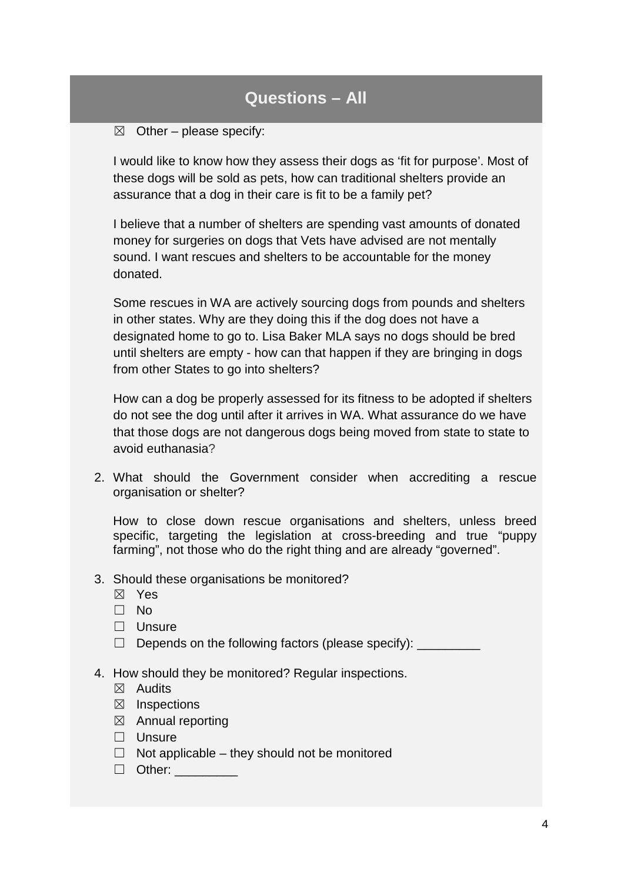$\boxtimes$  Other – please specify:

I would like to know how they assess their dogs as 'fit for purpose'. Most of these dogs will be sold as pets, how can traditional shelters provide an assurance that a dog in their care is fit to be a family pet?

I believe that a number of shelters are spending vast amounts of donated money for surgeries on dogs that Vets have advised are not mentally sound. I want rescues and shelters to be accountable for the money donated.

Some rescues in WA are actively sourcing dogs from pounds and shelters in other states. Why are they doing this if the dog does not have a designated home to go to. Lisa Baker MLA says no dogs should be bred until shelters are empty - how can that happen if they are bringing in dogs from other States to go into shelters?

How can a dog be properly assessed for its fitness to be adopted if shelters do not see the dog until after it arrives in WA. What assurance do we have that those dogs are not dangerous dogs being moved from state to state to avoid euthanasia?

2. What should the Government consider when accrediting a rescue organisation or shelter?

How to close down rescue organisations and shelters, unless breed specific, targeting the legislation at cross-breeding and true "puppy farming", not those who do the right thing and are already "governed".

- 3. Should these organisations be monitored?
	- ☒ Yes
	- ☐ No
	- □ Unsure
	- $\Box$  Depends on the following factors (please specify):
- 4. How should they be monitored? Regular inspections.
	- $\boxtimes$  Audits
	- $\boxtimes$  Inspections
	- ☒ Annual reporting
	- □ Unsure
	- $\Box$  Not applicable they should not be monitored
	- ☐ Other: \_\_\_\_\_\_\_\_\_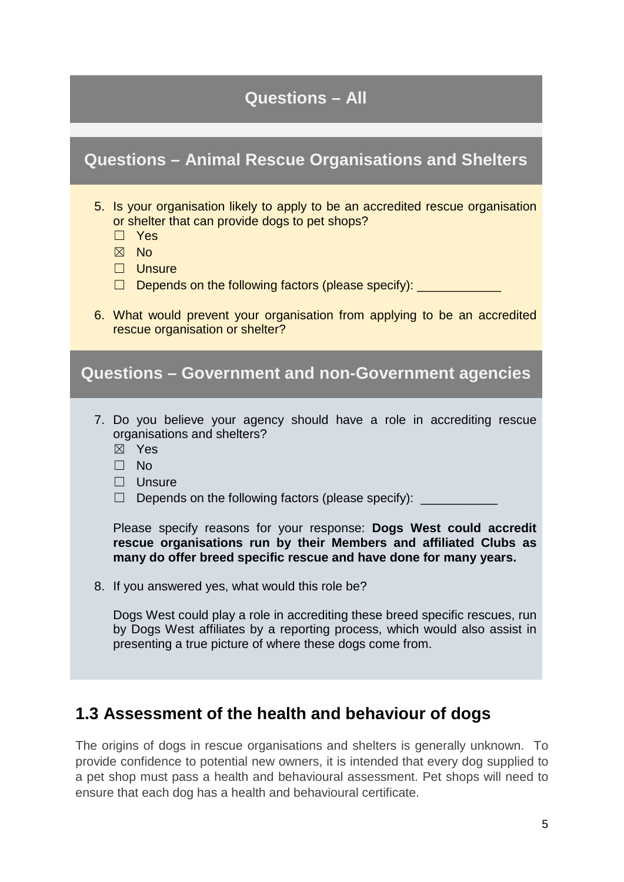**Questions – Animal Rescue Organisations and Shelters**

| 5. Is your organisation likely to apply to be an accredited rescue organisation<br>or shelter that can provide dogs to pet shops?<br>$\Box$ Yes<br>$\boxtimes$ No<br>$\Box$ Unsure<br>Depends on the following factors (please specify): ________<br>6. What would prevent your organisation from applying to be an accredited<br>rescue organisation or shelter? |
|-------------------------------------------------------------------------------------------------------------------------------------------------------------------------------------------------------------------------------------------------------------------------------------------------------------------------------------------------------------------|
|                                                                                                                                                                                                                                                                                                                                                                   |
| <b>Questions - Government and non-Government agencies</b>                                                                                                                                                                                                                                                                                                         |
|                                                                                                                                                                                                                                                                                                                                                                   |
| 7. Do you believe your agency should have a role in accrediting rescue<br>organisations and shelters?<br>$\boxtimes$ Yes<br>$\Box$ No<br>$\Box$ Unsure<br>Depends on the following factors (please specify): _____<br>$\Box$                                                                                                                                      |
|                                                                                                                                                                                                                                                                                                                                                                   |
| Please specify reasons for your response: Dogs West could accredit<br>rescue organisations run by their Members and affiliated Clubs as<br>many do offer breed specific rescue and have done for many years.                                                                                                                                                      |
| 8. If you answered yes, what would this role be?                                                                                                                                                                                                                                                                                                                  |
| Dogs West could play a role in accrediting these breed specific rescues, run<br>by Dogs West affiliates by a reporting process, which would also assist in<br>presenting a true picture of where these dogs come from.                                                                                                                                            |
|                                                                                                                                                                                                                                                                                                                                                                   |

# **1.3 Assessment of the health and behaviour of dogs**

The origins of dogs in rescue organisations and shelters is generally unknown. To provide confidence to potential new owners, it is intended that every dog supplied to a pet shop must pass a health and behavioural assessment. Pet shops will need to ensure that each dog has a health and behavioural certificate.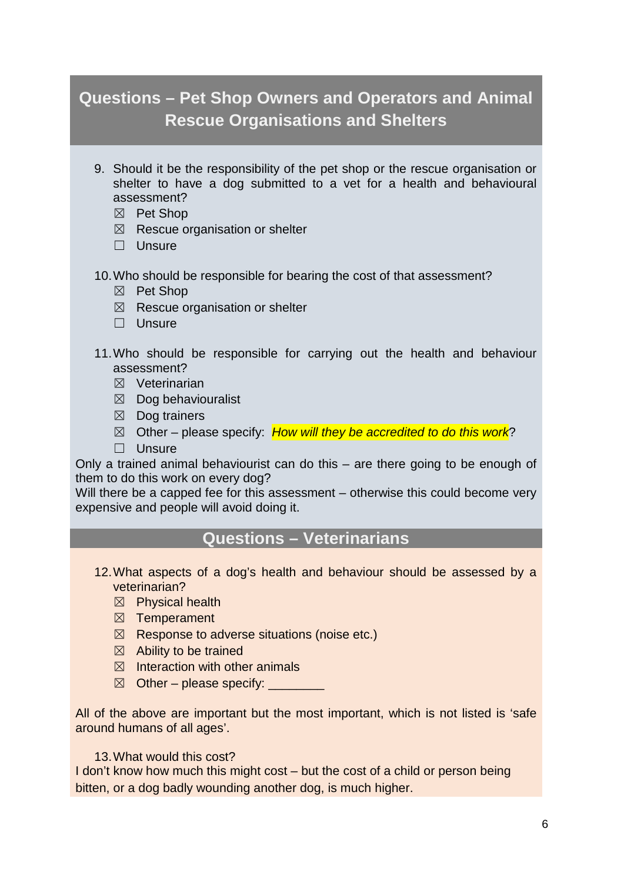# **Questions – Pet Shop Owners and Operators and Animal Rescue Organisations and Shelters**

- 9. Should it be the responsibility of the pet shop or the rescue organisation or shelter to have a dog submitted to a vet for a health and behavioural assessment?
	- ☒ Pet Shop
	- $\boxtimes$  Rescue organisation or shelter
	- □ Unsure
- 10.Who should be responsible for bearing the cost of that assessment?
	- ☒ Pet Shop
	- $\boxtimes$  Rescue organisation or shelter
	- □ Unsure
- 11.Who should be responsible for carrying out the health and behaviour assessment?
	- ☒ Veterinarian
	- $\boxtimes$  Dog behaviouralist
	- $\boxtimes$  Dog trainers
	- ☒ Other please specify: *How will they be accredited to do this work*?
	- ☐ Unsure

Only a trained animal behaviourist can do this – are there going to be enough of them to do this work on every dog?

Will there be a capped fee for this assessment – otherwise this could become very expensive and people will avoid doing it.

### **Questions – Veterinarians**

- 12.What aspects of a dog's health and behaviour should be assessed by a veterinarian?
	- $\boxtimes$  Physical health
	- ☒ Temperament
	- $\boxtimes$  Response to adverse situations (noise etc.)
	- $\boxtimes$  Ability to be trained
	- $\boxtimes$  Interaction with other animals
	- $\boxtimes$  Other please specify:

All of the above are important but the most important, which is not listed is 'safe around humans of all ages'.

#### 13.What would this cost?

I don't know how much this might cost – but the cost of a child or person being bitten, or a dog badly wounding another dog, is much higher.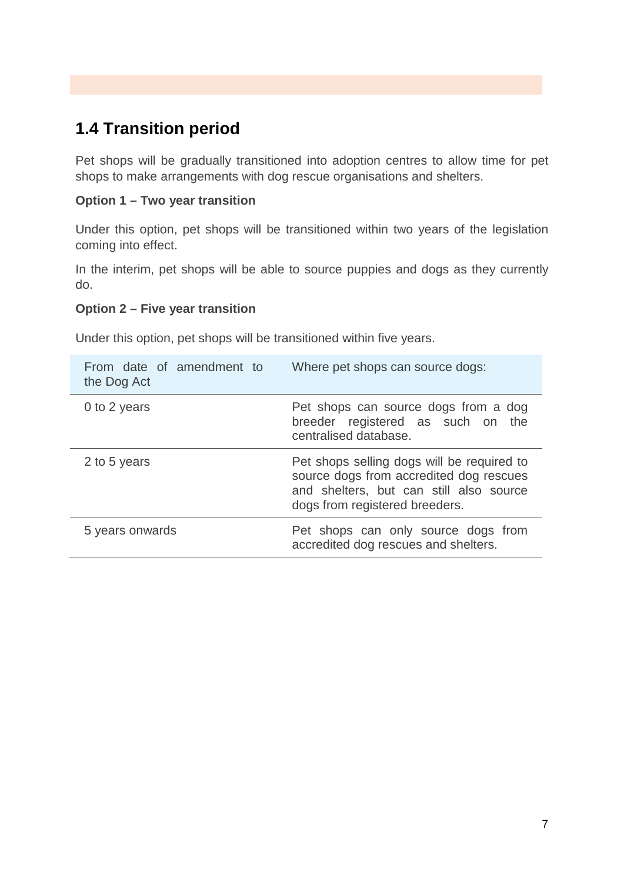# **1.4 Transition period**

Pet shops will be gradually transitioned into adoption centres to allow time for pet shops to make arrangements with dog rescue organisations and shelters.

### **Option 1 – Two year transition**

Under this option, pet shops will be transitioned within two years of the legislation coming into effect.

In the interim, pet shops will be able to source puppies and dogs as they currently do.

### **Option 2 – Five year transition**

Under this option, pet shops will be transitioned within five years.

| From date of amendment to<br>the Dog Act | Where pet shops can source dogs:                                                                                                                                   |
|------------------------------------------|--------------------------------------------------------------------------------------------------------------------------------------------------------------------|
| 0 to 2 years                             | Pet shops can source dogs from a dog<br>breeder registered as such on the<br>centralised database.                                                                 |
| 2 to 5 years                             | Pet shops selling dogs will be required to<br>source dogs from accredited dog rescues<br>and shelters, but can still also source<br>dogs from registered breeders. |
| 5 years onwards                          | Pet shops can only source dogs from<br>accredited dog rescues and shelters.                                                                                        |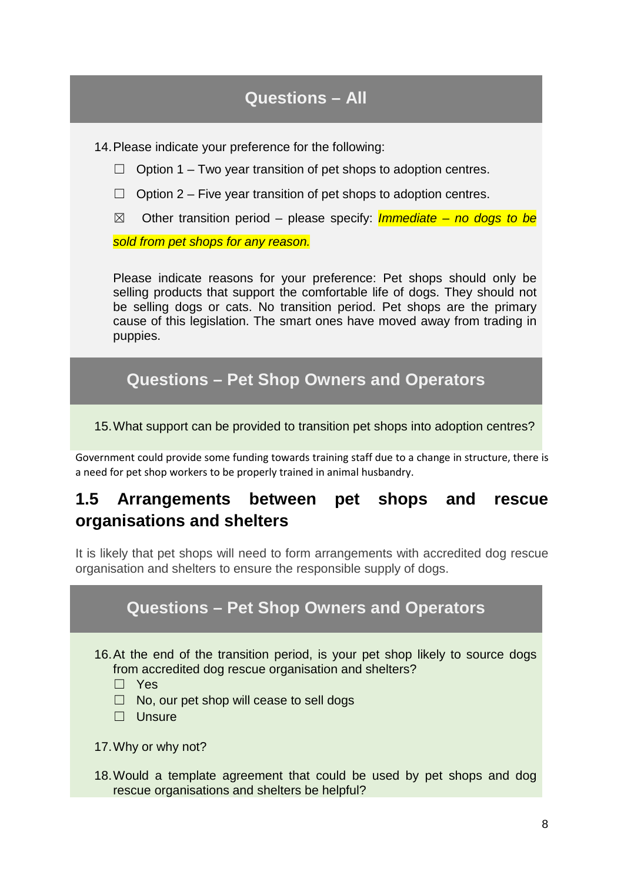14.Please indicate your preference for the following:

- $\Box$  Option 1 Two year transition of pet shops to adoption centres.
- $\Box$  Option 2 Five year transition of pet shops to adoption centres.
- ☒ Other transition period please specify: *Immediate – no dogs to be*

*sold from pet shops for any reason.*

Please indicate reasons for your preference: Pet shops should only be selling products that support the comfortable life of dogs. They should not be selling dogs or cats. No transition period. Pet shops are the primary cause of this legislation. The smart ones have moved away from trading in puppies.

## **Questions – Pet Shop Owners and Operators**

15.What support can be provided to transition pet shops into adoption centres?

Government could provide some funding towards training staff due to a change in structure, there is a need for pet shop workers to be properly trained in animal husbandry.

## **1.5 Arrangements between pet shops and rescue organisations and shelters**

It is likely that pet shops will need to form arrangements with accredited dog rescue organisation and shelters to ensure the responsible supply of dogs.

# **Questions – Pet Shop Owners and Operators**

16.At the end of the transition period, is your pet shop likely to source dogs from accredited dog rescue organisation and shelters?

☐ Yes

- $\Box$  No, our pet shop will cease to sell dogs
- ☐ Unsure

18.Would a template agreement that could be used by pet shops and dog rescue organisations and shelters be helpful?

<sup>17.</sup>Why or why not?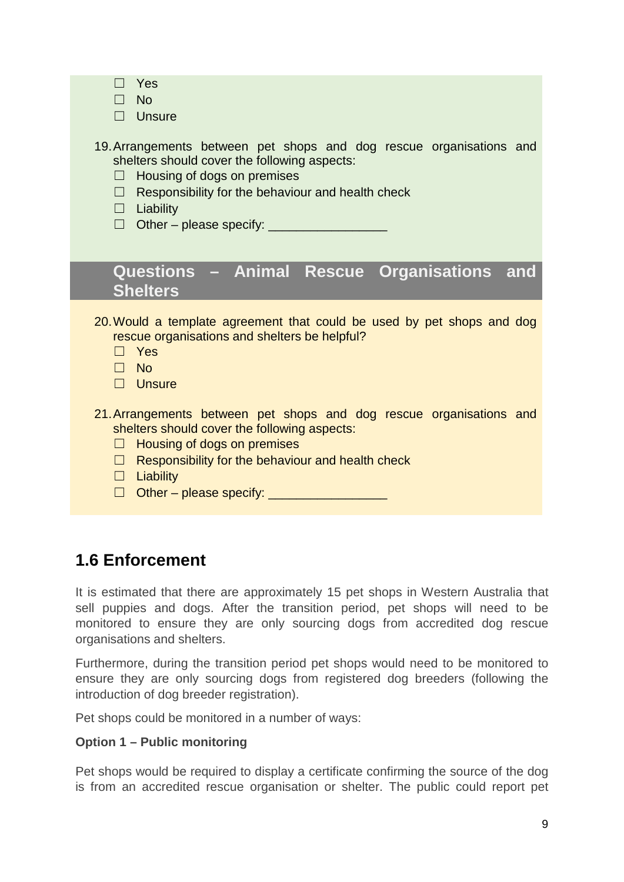| Yes<br>$\square$ No<br>$\Box$ Unsure                                                                                                                                                                                                                                                     |
|------------------------------------------------------------------------------------------------------------------------------------------------------------------------------------------------------------------------------------------------------------------------------------------|
| 19. Arrangements between pet shops and dog rescue organisations and<br>shelters should cover the following aspects:<br>Housing of dogs on premises<br>$\Box$<br>$\Box$ Responsibility for the behaviour and health check<br>$\Box$ Liability                                             |
| Questions - Animal Rescue Organisations and<br><b>Shelters</b>                                                                                                                                                                                                                           |
| 20. Would a template agreement that could be used by pet shops and dog<br>rescue organisations and shelters be helpful?<br>$\Box$ Yes<br>$\square$ No<br>$\Box$ Unsure                                                                                                                   |
| 21. Arrangements between pet shops and dog rescue organisations and<br>shelters should cover the following aspects:<br>Housing of dogs on premises<br>⊔<br>$\Box$ Responsibility for the behaviour and health check<br>$\Box$ Liability<br>Other – please specify: _____________________ |

## **1.6 Enforcement**

It is estimated that there are approximately 15 pet shops in Western Australia that sell puppies and dogs. After the transition period, pet shops will need to be monitored to ensure they are only sourcing dogs from accredited dog rescue organisations and shelters.

Furthermore, during the transition period pet shops would need to be monitored to ensure they are only sourcing dogs from registered dog breeders (following the introduction of dog breeder registration).

Pet shops could be monitored in a number of ways:

### **Option 1 – Public monitoring**

Pet shops would be required to display a certificate confirming the source of the dog is from an accredited rescue organisation or shelter. The public could report pet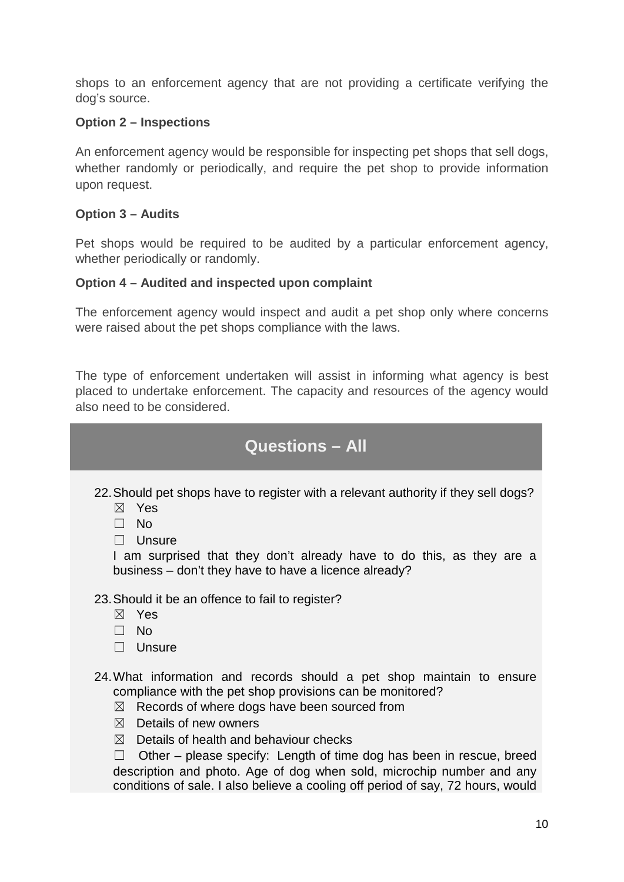shops to an enforcement agency that are not providing a certificate verifying the dog's source.

### **Option 2 – Inspections**

An enforcement agency would be responsible for inspecting pet shops that sell dogs, whether randomly or periodically, and require the pet shop to provide information upon request.

### **Option 3 – Audits**

Pet shops would be required to be audited by a particular enforcement agency, whether periodically or randomly.

### **Option 4 – Audited and inspected upon complaint**

The enforcement agency would inspect and audit a pet shop only where concerns were raised about the pet shops compliance with the laws.

The type of enforcement undertaken will assist in informing what agency is best placed to undertake enforcement. The capacity and resources of the agency would also need to be considered.

## **Questions – All**

22.Should pet shops have to register with a relevant authority if they sell dogs?

- ☒ Yes
- ☐ No
- ☐ Unsure

I am surprised that they don't already have to do this, as they are a business – don't they have to have a licence already?

23.Should it be an offence to fail to register?

- ☒ Yes
- ☐ No
- ☐ Unsure

24.What information and records should a pet shop maintain to ensure compliance with the pet shop provisions can be monitored?

- $\boxtimes$  Records of where dogs have been sourced from
- $$\boxtimes$$  Details of new owners
- $\boxtimes$  Details of health and behaviour checks

 $\Box$  Other – please specify: Length of time dog has been in rescue, breed description and photo. Age of dog when sold, microchip number and any conditions of sale. I also believe a cooling off period of say, 72 hours, would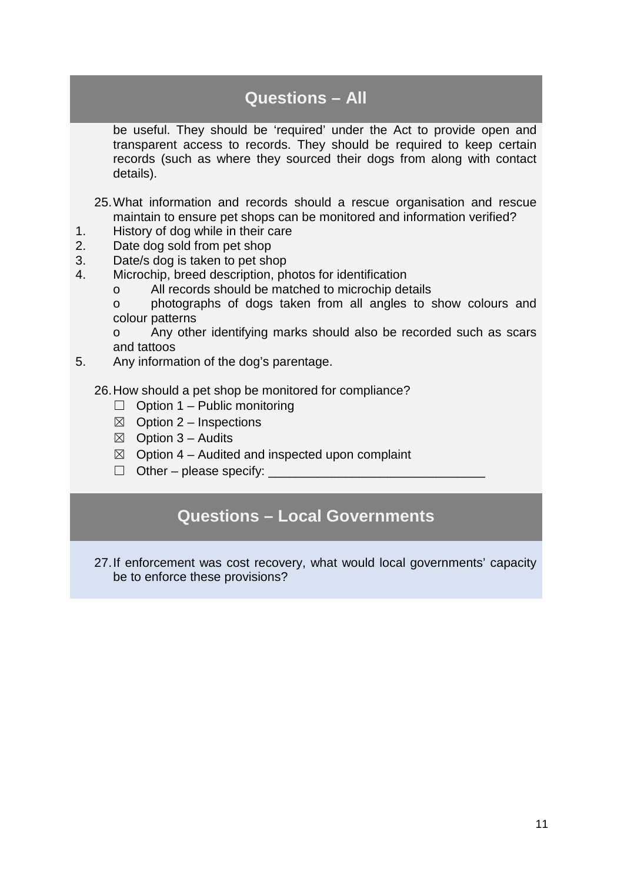be useful. They should be 'required' under the Act to provide open and transparent access to records. They should be required to keep certain records (such as where they sourced their dogs from along with contact details).

25.What information and records should a rescue organisation and rescue maintain to ensure pet shops can be monitored and information verified?

- 1. History of dog while in their care
- 2. Date dog sold from pet shop
- 3. Date/s dog is taken to pet shop
- 4. Microchip, breed description, photos for identification
	- o All records should be matched to microchip details

o photographs of dogs taken from all angles to show colours and colour patterns

o Any other identifying marks should also be recorded such as scars and tattoos

5. Any information of the dog's parentage.

26.How should a pet shop be monitored for compliance?

- $\Box$  Option 1 Public monitoring
- $\boxtimes$  Option 2 Inspections
- $\boxtimes$  Option 3 Audits
- $\boxtimes$  Option 4 Audited and inspected upon complaint
- $\Box$  Other please specify:

## **Questions – Local Governments**

27.If enforcement was cost recovery, what would local governments' capacity be to enforce these provisions?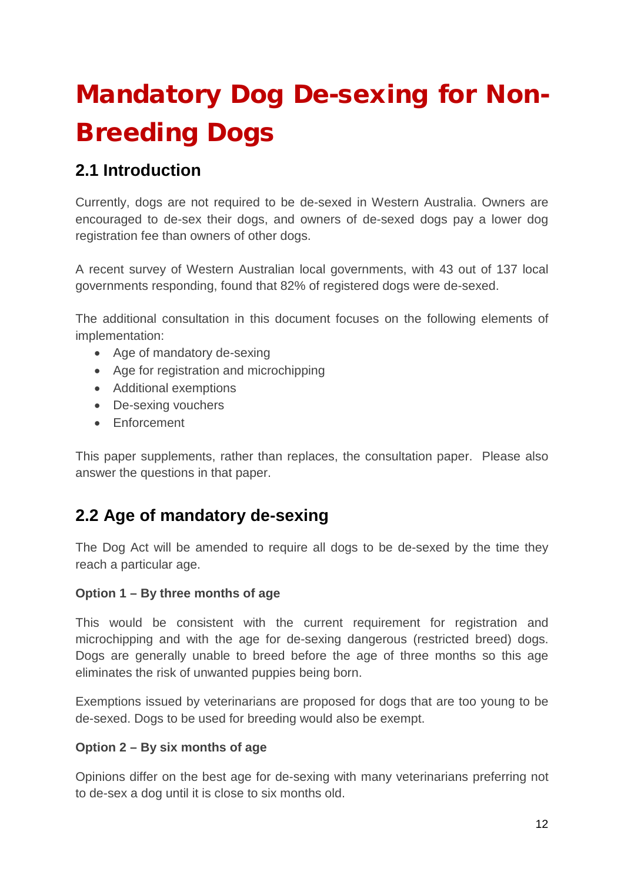# Mandatory Dog De-sexing for Non-Breeding Dogs

# **2.1 Introduction**

Currently, dogs are not required to be de-sexed in Western Australia. Owners are encouraged to de-sex their dogs, and owners of de-sexed dogs pay a lower dog registration fee than owners of other dogs.

A recent survey of Western Australian local governments, with 43 out of 137 local governments responding, found that 82% of registered dogs were de-sexed.

The additional consultation in this document focuses on the following elements of implementation:

- Age of mandatory de-sexing
- Age for registration and microchipping
- Additional exemptions
- De-sexing vouchers
- Enforcement

This paper supplements, rather than replaces, the consultation paper. Please also answer the questions in that paper.

## **2.2 Age of mandatory de-sexing**

The Dog Act will be amended to require all dogs to be de-sexed by the time they reach a particular age.

### **Option 1 – By three months of age**

This would be consistent with the current requirement for registration and microchipping and with the age for de-sexing dangerous (restricted breed) dogs. Dogs are generally unable to breed before the age of three months so this age eliminates the risk of unwanted puppies being born.

Exemptions issued by veterinarians are proposed for dogs that are too young to be de-sexed. Dogs to be used for breeding would also be exempt.

### **Option 2 – By six months of age**

Opinions differ on the best age for de-sexing with many veterinarians preferring not to de-sex a dog until it is close to six months old.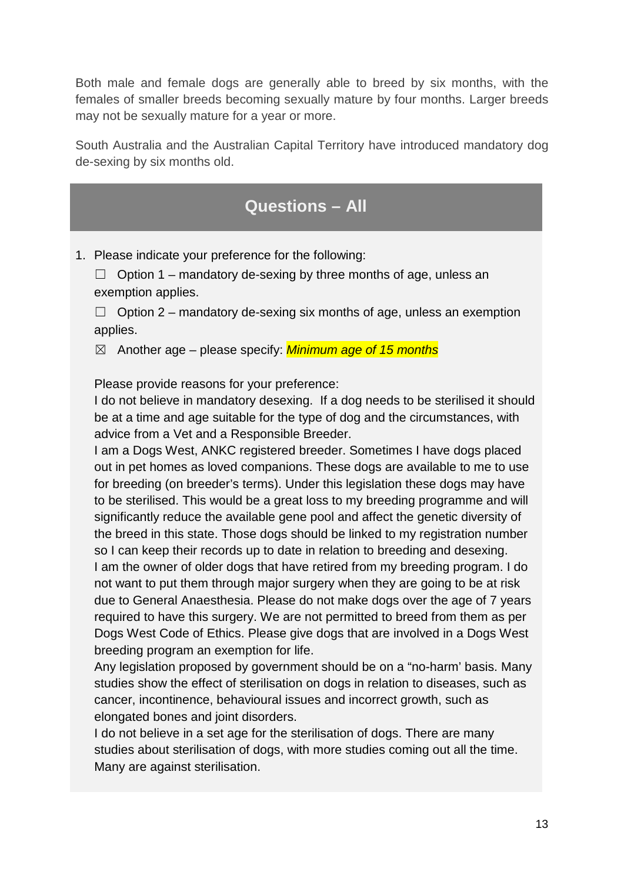Both male and female dogs are generally able to breed by six months, with the females of smaller breeds becoming sexually mature by four months. Larger breeds may not be sexually mature for a year or more.

South Australia and the Australian Capital Territory have introduced mandatory dog de-sexing by six months old.

# **Questions – All**

1. Please indicate your preference for the following:

 $\Box$  Option 1 – mandatory de-sexing by three months of age, unless an exemption applies.

 $\Box$  Option 2 – mandatory de-sexing six months of age, unless an exemption applies.

☒ Another age – please specify: *Minimum age of 15 months*

Please provide reasons for your preference:

I do not believe in mandatory desexing. If a dog needs to be sterilised it should be at a time and age suitable for the type of dog and the circumstances, with advice from a Vet and a Responsible Breeder.

I am a Dogs West, ANKC registered breeder. Sometimes I have dogs placed out in pet homes as loved companions. These dogs are available to me to use for breeding (on breeder's terms). Under this legislation these dogs may have to be sterilised. This would be a great loss to my breeding programme and will significantly reduce the available gene pool and affect the genetic diversity of the breed in this state. Those dogs should be linked to my registration number so I can keep their records up to date in relation to breeding and desexing. I am the owner of older dogs that have retired from my breeding program. I do not want to put them through major surgery when they are going to be at risk due to General Anaesthesia. Please do not make dogs over the age of 7 years required to have this surgery. We are not permitted to breed from them as per Dogs West Code of Ethics. Please give dogs that are involved in a Dogs West breeding program an exemption for life.

Any legislation proposed by government should be on a "no-harm' basis. Many studies show the effect of sterilisation on dogs in relation to diseases, such as cancer, incontinence, behavioural issues and incorrect growth, such as elongated bones and joint disorders.

I do not believe in a set age for the sterilisation of dogs. There are many studies about sterilisation of dogs, with more studies coming out all the time. Many are against sterilisation.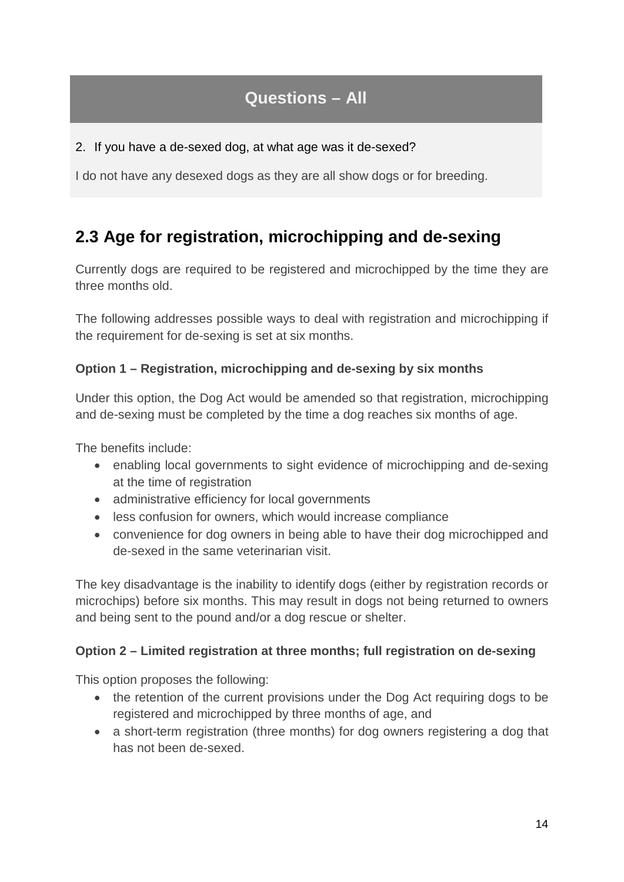### 2. If you have a de-sexed dog, at what age was it de-sexed?

I do not have any desexed dogs as they are all show dogs or for breeding.

# **2.3 Age for registration, microchipping and de-sexing**

Currently dogs are required to be registered and microchipped by the time they are three months old.

The following addresses possible ways to deal with registration and microchipping if the requirement for de-sexing is set at six months.

### **Option 1 – Registration, microchipping and de-sexing by six months**

Under this option, the Dog Act would be amended so that registration, microchipping and de-sexing must be completed by the time a dog reaches six months of age.

The benefits include:

- enabling local governments to sight evidence of microchipping and de-sexing at the time of registration
- administrative efficiency for local governments
- less confusion for owners, which would increase compliance
- convenience for dog owners in being able to have their dog microchipped and de-sexed in the same veterinarian visit.

The key disadvantage is the inability to identify dogs (either by registration records or microchips) before six months. This may result in dogs not being returned to owners and being sent to the pound and/or a dog rescue or shelter.

### **Option 2 – Limited registration at three months; full registration on de-sexing**

This option proposes the following:

- the retention of the current provisions under the Dog Act requiring dogs to be registered and microchipped by three months of age, and
- a short-term registration (three months) for dog owners registering a dog that has not been de-sexed.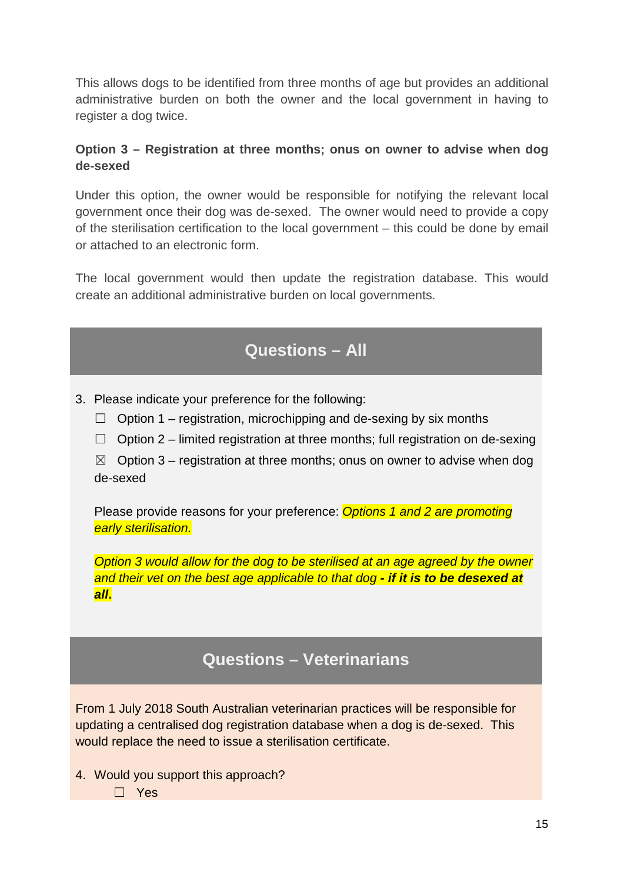This allows dogs to be identified from three months of age but provides an additional administrative burden on both the owner and the local government in having to register a dog twice.

### **Option 3 – Registration at three months; onus on owner to advise when dog de-sexed**

Under this option, the owner would be responsible for notifying the relevant local government once their dog was de-sexed. The owner would need to provide a copy of the sterilisation certification to the local government – this could be done by email or attached to an electronic form.

The local government would then update the registration database. This would create an additional administrative burden on local governments.

# **Questions – All**

- 3. Please indicate your preference for the following:
	- $\Box$  Option 1 registration, microchipping and de-sexing by six months
	- $\Box$  Option 2 limited registration at three months; full registration on de-sexing

 $\boxtimes$  Option 3 – registration at three months; onus on owner to advise when dog de-sexed

Please provide reasons for your preference: *Options 1 and 2 are promoting early sterilisation.*

*Option 3 would allow for the dog to be sterilised at an age agreed by the owner and their vet on the best age applicable to that dog - if it is to be desexed at all***.**

## **Questions – Veterinarians**

From 1 July 2018 South Australian veterinarian practices will be responsible for updating a centralised dog registration database when a dog is de-sexed. This would replace the need to issue a sterilisation certificate.

- 4. Would you support this approach?
	- ☐ Yes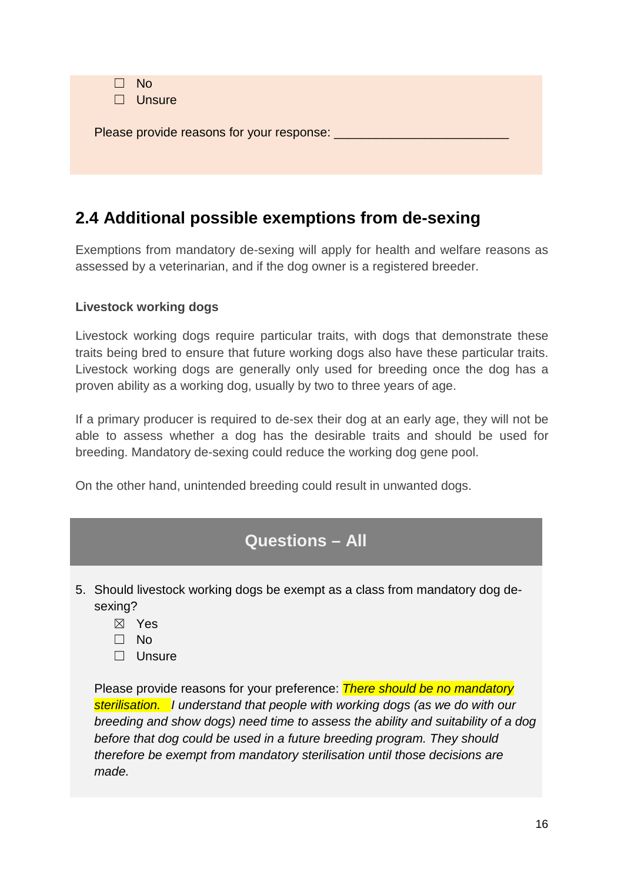| $\square$ No | $\Box$ Unsure                                   |
|--------------|-------------------------------------------------|
|              | Please provide reasons for your response: _____ |
|              |                                                 |

# **2.4 Additional possible exemptions from de-sexing**

Exemptions from mandatory de-sexing will apply for health and welfare reasons as assessed by a veterinarian, and if the dog owner is a registered breeder.

### **Livestock working dogs**

Livestock working dogs require particular traits, with dogs that demonstrate these traits being bred to ensure that future working dogs also have these particular traits. Livestock working dogs are generally only used for breeding once the dog has a proven ability as a working dog, usually by two to three years of age.

If a primary producer is required to de-sex their dog at an early age, they will not be able to assess whether a dog has the desirable traits and should be used for breeding. Mandatory de-sexing could reduce the working dog gene pool.

On the other hand, unintended breeding could result in unwanted dogs.

# **Questions – All**

- 5. Should livestock working dogs be exempt as a class from mandatory dog desexing?
	- ☒ Yes
	- ☐ No
	- ☐ Unsure

Please provide reasons for your preference: *There should be no mandatory sterilisation. I understand that people with working dogs (as we do with our breeding and show dogs) need time to assess the ability and suitability of a dog before that dog could be used in a future breeding program. They should therefore be exempt from mandatory sterilisation until those decisions are made.*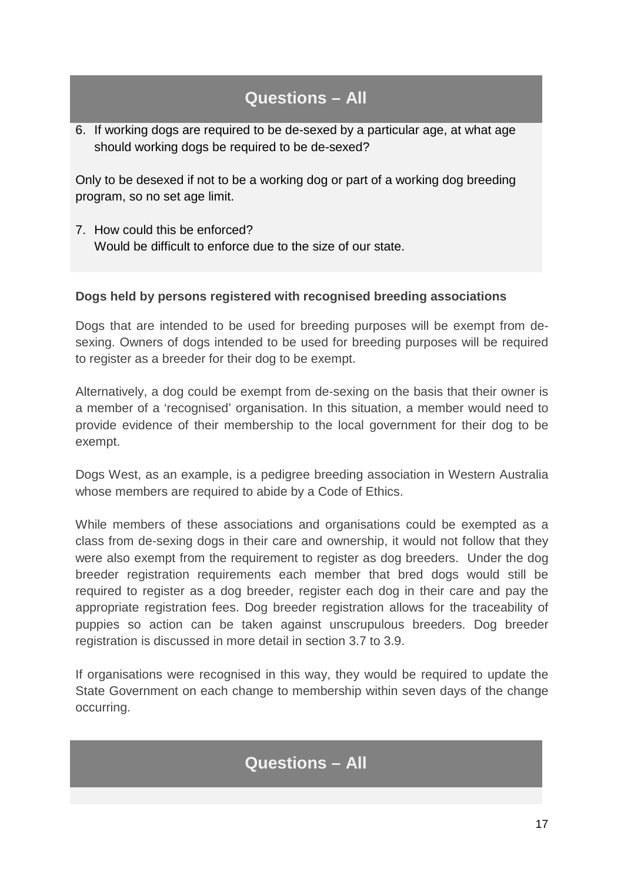6. If working dogs are required to be de-sexed by a particular age, at what age should working dogs be required to be de-sexed?

Only to be desexed if not to be a working dog or part of a working dog breeding program, so no set age limit.

7. How could this be enforced? Would be difficult to enforce due to the size of our state.

### **Dogs held by persons registered with recognised breeding associations**

Dogs that are intended to be used for breeding purposes will be exempt from desexing. Owners of dogs intended to be used for breeding purposes will be required to register as a breeder for their dog to be exempt.

Alternatively, a dog could be exempt from de-sexing on the basis that their owner is a member of a 'recognised' organisation. In this situation, a member would need to provide evidence of their membership to the local government for their dog to be exempt.

Dogs West, as an example, is a pedigree breeding association in Western Australia whose members are required to abide by a Code of Ethics.

While members of these associations and organisations could be exempted as a class from de-sexing dogs in their care and ownership, it would not follow that they were also exempt from the requirement to register as dog breeders. Under the dog breeder registration requirements each member that bred dogs would still be required to register as a dog breeder, register each dog in their care and pay the appropriate registration fees. Dog breeder registration allows for the traceability of puppies so action can be taken against unscrupulous breeders. Dog breeder registration is discussed in more detail in section 3.7 to 3.9.

If organisations were recognised in this way, they would be required to update the State Government on each change to membership within seven days of the change occurring.

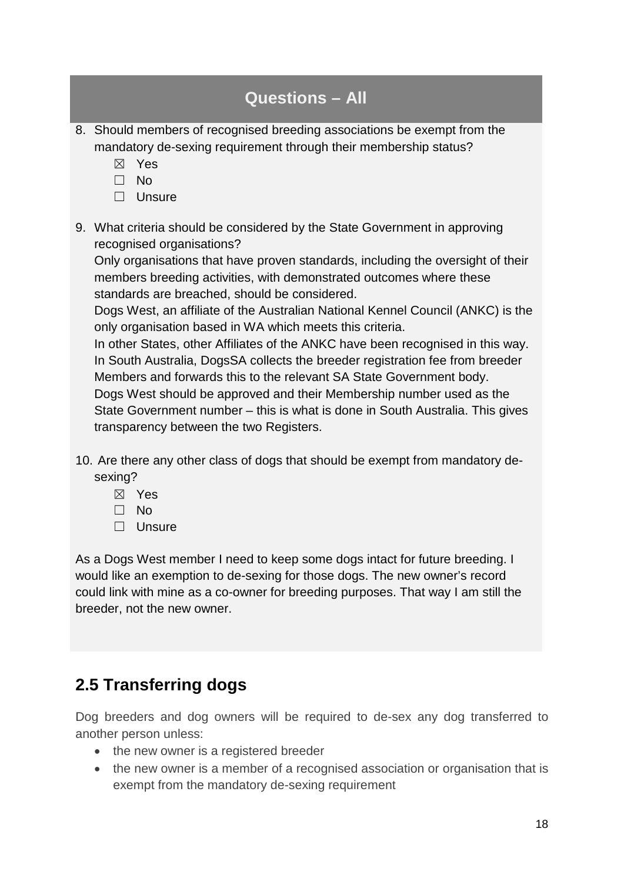| <b>Questions - All</b>                                                                                                                                                                                                                                                                                                                                                                                                                                                                                                                                                                                                                |
|---------------------------------------------------------------------------------------------------------------------------------------------------------------------------------------------------------------------------------------------------------------------------------------------------------------------------------------------------------------------------------------------------------------------------------------------------------------------------------------------------------------------------------------------------------------------------------------------------------------------------------------|
| 8. Should members of recognised breeding associations be exempt from the<br>mandatory de-sexing requirement through their membership status?<br>Yes<br>$\bowtie$<br>N <sub>o</sub><br>Unsure<br>$\Box$                                                                                                                                                                                                                                                                                                                                                                                                                                |
| 9. What criteria should be considered by the State Government in approving<br>recognised organisations?<br>Only organisations that have proven standards, including the oversight of their<br>members breeding activities, with demonstrated outcomes where these<br>standards are breached, should be considered.<br>Dogs West, an affiliate of the Australian National Kennel Council (ANKC) is the<br>only organisation based in WA which meets this criteria.<br>In other States, other Affiliates of the ANKC have been recognised in this way.<br>In South Australia, DeseSA sollects the broader registration foo from broader |

In South Australia, DogsSA collects the breeder registration fee from breeder Members and forwards this to the relevant SA State Government body. Dogs West should be approved and their Membership number used as the State Government number – this is what is done in South Australia. This gives transparency between the two Registers.

- 10. Are there any other class of dogs that should be exempt from mandatory desexing?
	- ☒ Yes
	- ☐ No
	- ☐ Unsure

As a Dogs West member I need to keep some dogs intact for future breeding. I would like an exemption to de-sexing for those dogs. The new owner's record could link with mine as a co-owner for breeding purposes. That way I am still the breeder, not the new owner.

## **2.5 Transferring dogs**

Dog breeders and dog owners will be required to de-sex any dog transferred to another person unless:

- the new owner is a registered breeder
- the new owner is a member of a recognised association or organisation that is exempt from the mandatory de-sexing requirement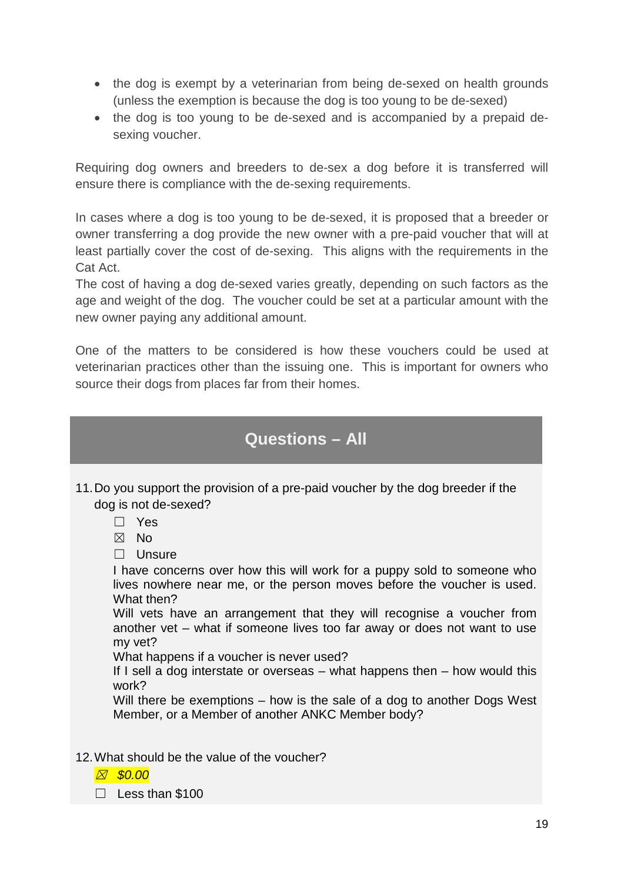- the dog is exempt by a veterinarian from being de-sexed on health grounds (unless the exemption is because the dog is too young to be de-sexed)
- the dog is too young to be de-sexed and is accompanied by a prepaid desexing voucher.

Requiring dog owners and breeders to de-sex a dog before it is transferred will ensure there is compliance with the de-sexing requirements.

In cases where a dog is too young to be de-sexed, it is proposed that a breeder or owner transferring a dog provide the new owner with a pre-paid voucher that will at least partially cover the cost of de-sexing. This aligns with the requirements in the Cat Act.

The cost of having a dog de-sexed varies greatly, depending on such factors as the age and weight of the dog. The voucher could be set at a particular amount with the new owner paying any additional amount.

One of the matters to be considered is how these vouchers could be used at veterinarian practices other than the issuing one. This is important for owners who source their dogs from places far from their homes.

## **Questions – All**

- 11.Do you support the provision of a pre-paid voucher by the dog breeder if the dog is not de-sexed?
	- ☐ Yes
	- $\boxtimes$  No
	- □ Unsure

I have concerns over how this will work for a puppy sold to someone who lives nowhere near me, or the person moves before the voucher is used. What then?

Will vets have an arrangement that they will recognise a voucher from another vet – what if someone lives too far away or does not want to use my vet?

What happens if a voucher is never used?

If I sell a dog interstate or overseas – what happens then – how would this work?

Will there be exemptions – how is the sale of a dog to another Dogs West Member, or a Member of another ANKC Member body?

- 12.What should be the value of the voucher?
	- ☒ *\$0.00*
	- ☐ Less than \$100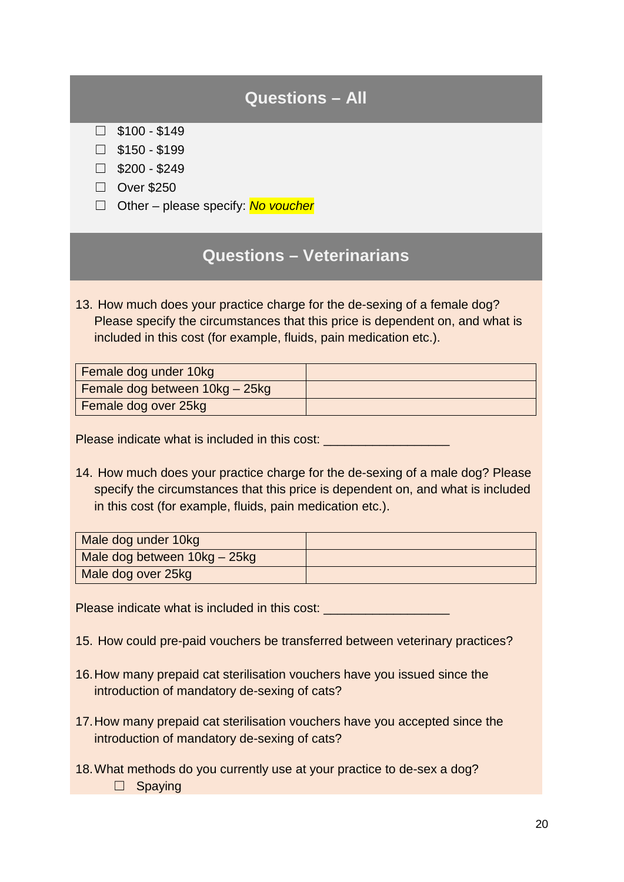- $\square$  \$100 \$149
- $\square$  \$150 \$199
- $\Box$  \$200 \$249
- ☐ Over \$250
- ☐ Other please specify: *No voucher*

## **Questions – Veterinarians**

13. How much does your practice charge for the de-sexing of a female dog? Please specify the circumstances that this price is dependent on, and what is included in this cost (for example, fluids, pain medication etc.).

| Female dog under 10kg          |  |
|--------------------------------|--|
| Female dog between 10kg - 25kg |  |
| Female dog over 25kg           |  |

Please indicate what is included in this cost: \_\_\_\_\_\_\_\_\_\_\_\_\_\_\_\_\_\_\_\_\_\_\_\_\_\_\_\_\_\_\_\_\_

14. How much does your practice charge for the de-sexing of a male dog? Please specify the circumstances that this price is dependent on, and what is included in this cost (for example, fluids, pain medication etc.).

| Male dog under 10kg          |  |
|------------------------------|--|
| Male dog between 10kg - 25kg |  |
| Male dog over 25kg           |  |

Please indicate what is included in this cost: \_\_\_\_\_\_\_\_\_\_\_\_\_\_\_\_\_\_\_\_\_\_\_\_\_\_\_\_\_\_\_\_\_

- 15. How could pre-paid vouchers be transferred between veterinary practices?
- 16.How many prepaid cat sterilisation vouchers have you issued since the introduction of mandatory de-sexing of cats?
- 17.How many prepaid cat sterilisation vouchers have you accepted since the introduction of mandatory de-sexing of cats?
- 18.What methods do you currently use at your practice to de-sex a dog? □ Spaying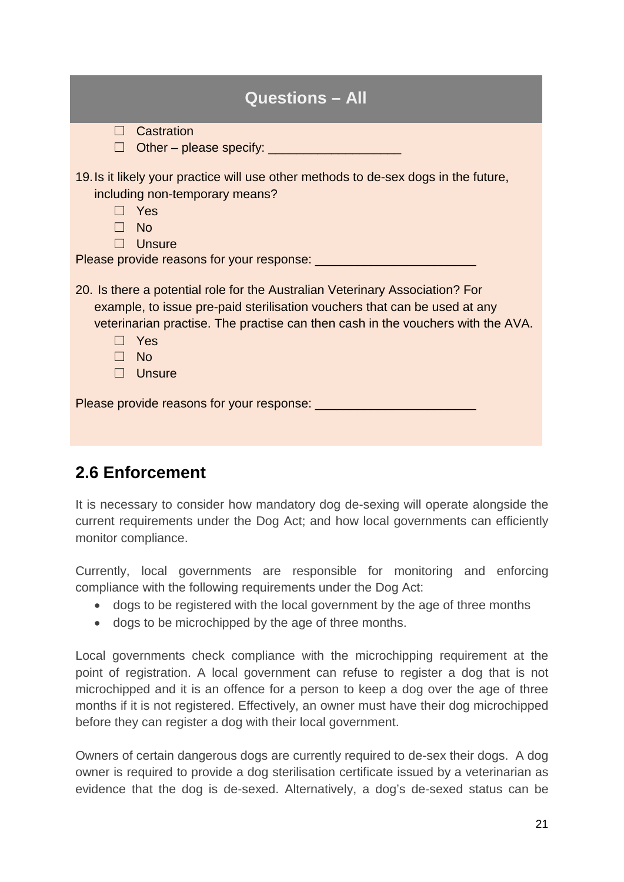| <b>Questions - All</b>                                                                                                                                                                                                                                                       |  |  |  |
|------------------------------------------------------------------------------------------------------------------------------------------------------------------------------------------------------------------------------------------------------------------------------|--|--|--|
| Castration<br>$\Box$                                                                                                                                                                                                                                                         |  |  |  |
| 19. Is it likely your practice will use other methods to de-sex dogs in the future,<br>including non-temporary means?<br>Yes<br>- No<br><b>Unsure</b>                                                                                                                        |  |  |  |
|                                                                                                                                                                                                                                                                              |  |  |  |
| 20. Is there a potential role for the Australian Veterinary Association? For<br>example, to issue pre-paid sterilisation vouchers that can be used at any<br>veterinarian practise. The practise can then cash in the vouchers with the AVA.<br>Yes<br>- No<br>$\Box$ Unsure |  |  |  |
|                                                                                                                                                                                                                                                                              |  |  |  |

# **2.6 Enforcement**

It is necessary to consider how mandatory dog de-sexing will operate alongside the current requirements under the Dog Act; and how local governments can efficiently monitor compliance.

Currently, local governments are responsible for monitoring and enforcing compliance with the following requirements under the Dog Act:

- dogs to be registered with the local government by the age of three months
- dogs to be microchipped by the age of three months.

Local governments check compliance with the microchipping requirement at the point of registration. A local government can refuse to register a dog that is not microchipped and it is an offence for a person to keep a dog over the age of three months if it is not registered. Effectively, an owner must have their dog microchipped before they can register a dog with their local government.

Owners of certain dangerous dogs are currently required to de-sex their dogs. A dog owner is required to provide a dog sterilisation certificate issued by a veterinarian as evidence that the dog is de-sexed. Alternatively, a dog's de-sexed status can be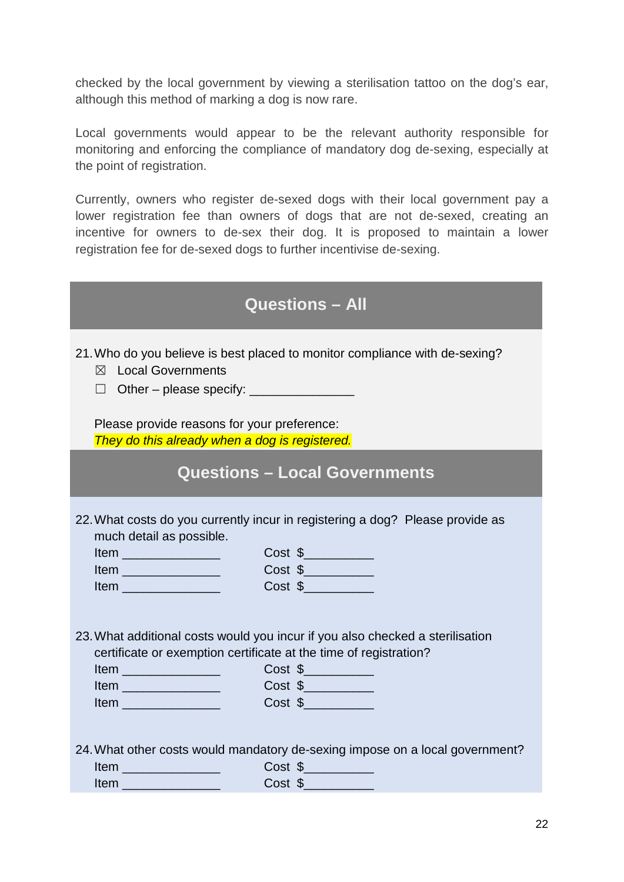checked by the local government by viewing a sterilisation tattoo on the dog's ear, although this method of marking a dog is now rare.

Local governments would appear to be the relevant authority responsible for monitoring and enforcing the compliance of mandatory dog de-sexing, especially at the point of registration.

Currently, owners who register de-sexed dogs with their local government pay a lower registration fee than owners of dogs that are not de-sexed, creating an incentive for owners to de-sex their dog. It is proposed to maintain a lower registration fee for de-sexed dogs to further incentivise de-sexing.

| <b>Questions - All</b>                                                                                                                                                                                                                                                        |
|-------------------------------------------------------------------------------------------------------------------------------------------------------------------------------------------------------------------------------------------------------------------------------|
| 21. Who do you believe is best placed to monitor compliance with de-sexing?<br><b>Local Governments</b><br>$\boxtimes$<br>Other - please specify: ________________<br>$\Box$<br>Please provide reasons for your preference:<br>They do this already when a dog is registered. |
| <b>Questions - Local Governments</b>                                                                                                                                                                                                                                          |
| 22. What costs do you currently incur in registering a dog? Please provide as<br>much detail as possible.<br><u>Item</u> __________________<br>Item<br>Cost \$                                                                                                                |
| 23. What additional costs would you incur if you also checked a sterilisation<br>certificate or exemption certificate at the time of registration?<br>$Cost \$<br><u>Item</u> ________________<br>$Cost \$<br><u>Item</u> ___________________                                 |
| 24. What other costs would mandatory de-sexing impose on a local government?<br>$Cost$ \$<br>Item __________________<br>$Cost \$<br>Item _________________                                                                                                                    |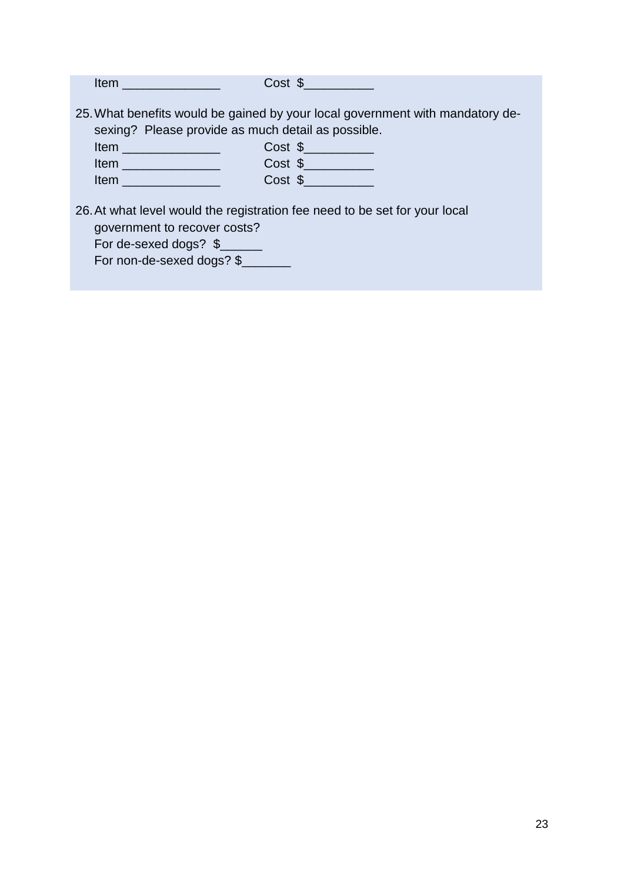| $Item \ \_$                                                                                   | $Cost \$                                                                                                                                                               |
|-----------------------------------------------------------------------------------------------|------------------------------------------------------------------------------------------------------------------------------------------------------------------------|
| <u>Item</u> ________________________<br><b>Item Exercise Structure</b>                        | 25. What benefits would be gained by your local government with mandatory de-<br>sexing? Please provide as much detail as possible.<br>Cost \$<br>$Cost$ \$<br>Cost \$ |
| government to recover costs?<br>For de-sexed dogs? $\frac{1}{2}$<br>For non-de-sexed dogs? \$ | 26. At what level would the registration fee need to be set for your local                                                                                             |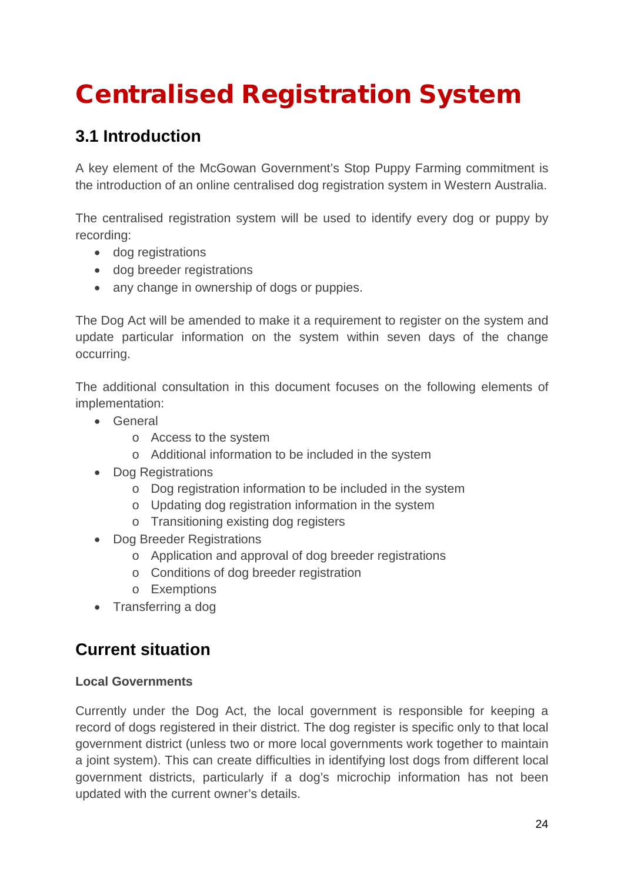# Centralised Registration System

# **3.1 Introduction**

A key element of the McGowan Government's Stop Puppy Farming commitment is the introduction of an online centralised dog registration system in Western Australia.

The centralised registration system will be used to identify every dog or puppy by recording:

- dog registrations
- dog breeder registrations
- any change in ownership of dogs or puppies.

The Dog Act will be amended to make it a requirement to register on the system and update particular information on the system within seven days of the change occurring.

The additional consultation in this document focuses on the following elements of implementation:

- General
	- o Access to the system
	- o Additional information to be included in the system
- Dog Registrations
	- o Dog registration information to be included in the system
	- o Updating dog registration information in the system
	- o Transitioning existing dog registers
- Dog Breeder Registrations
	- o Application and approval of dog breeder registrations
	- o Conditions of dog breeder registration
	- o Exemptions
- Transferring a dog

# **Current situation**

### **Local Governments**

Currently under the Dog Act, the local government is responsible for keeping a record of dogs registered in their district. The dog register is specific only to that local government district (unless two or more local governments work together to maintain a joint system). This can create difficulties in identifying lost dogs from different local government districts, particularly if a dog's microchip information has not been updated with the current owner's details.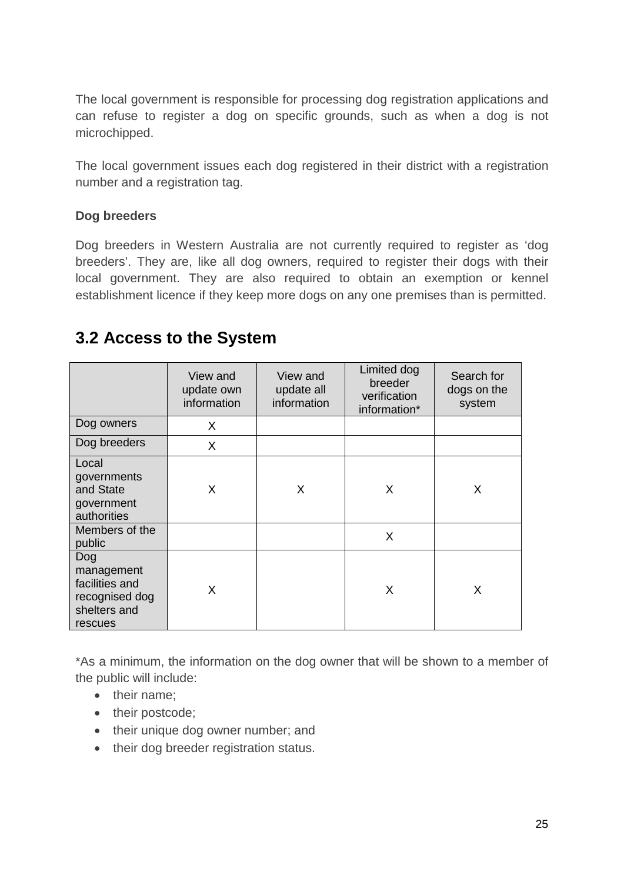The local government is responsible for processing dog registration applications and can refuse to register a dog on specific grounds, such as when a dog is not microchipped.

The local government issues each dog registered in their district with a registration number and a registration tag.

### **Dog breeders**

Dog breeders in Western Australia are not currently required to register as 'dog breeders'. They are, like all dog owners, required to register their dogs with their local government. They are also required to obtain an exemption or kennel establishment licence if they keep more dogs on any one premises than is permitted.

### **3.2 Access to the System**

|                                                                                  | View and<br>update own<br>information | View and<br>update all<br>information | Limited dog<br>breeder<br>verification<br>information* | Search for<br>dogs on the<br>system |
|----------------------------------------------------------------------------------|---------------------------------------|---------------------------------------|--------------------------------------------------------|-------------------------------------|
| Dog owners                                                                       | X                                     |                                       |                                                        |                                     |
| Dog breeders                                                                     | X                                     |                                       |                                                        |                                     |
| Local<br>governments<br>and State<br>government<br>authorities                   | X                                     | X                                     | X                                                      | X                                   |
| Members of the<br>public                                                         |                                       |                                       | X                                                      |                                     |
| Dog<br>management<br>facilities and<br>recognised dog<br>shelters and<br>rescues | X                                     |                                       | X                                                      | X                                   |

\*As a minimum, the information on the dog owner that will be shown to a member of the public will include:

- their name:
- their postcode;
- their unique dog owner number; and
- their dog breeder registration status.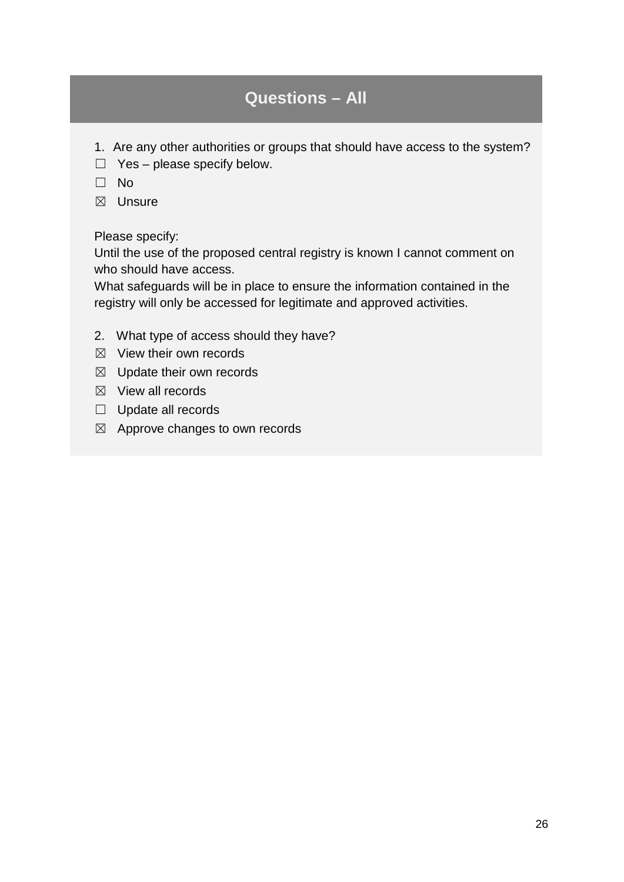- 1. Are any other authorities or groups that should have access to the system?
- $\Box$  Yes please specify below.
- ☐ No
- ☒ Unsure

Please specify:

Until the use of the proposed central registry is known I cannot comment on who should have access.

What safeguards will be in place to ensure the information contained in the registry will only be accessed for legitimate and approved activities.

- 2. What type of access should they have?
- $\boxtimes$  View their own records
- ☒ Update their own records
- $\boxtimes$  View all records
- ☐ Update all records
- $\boxtimes$  Approve changes to own records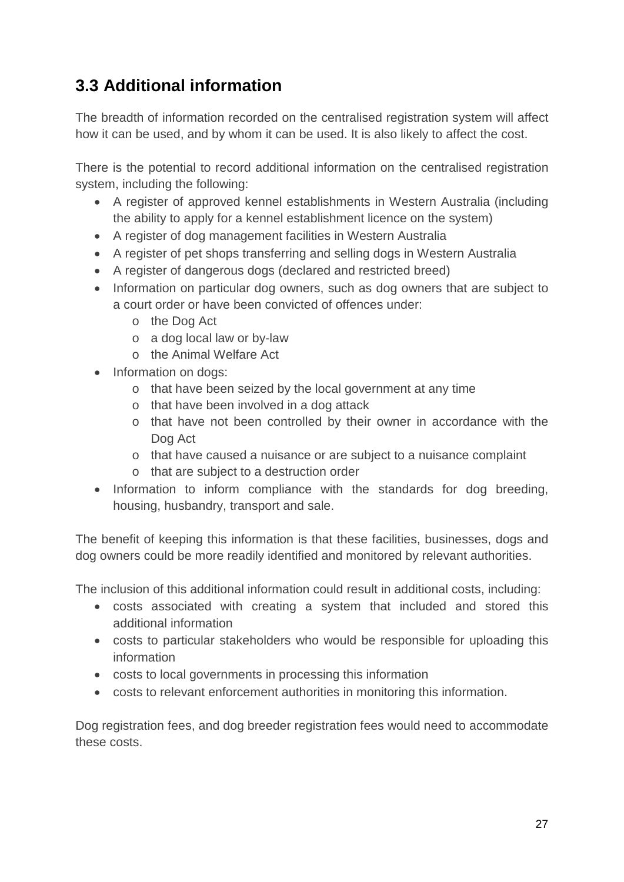# **3.3 Additional information**

The breadth of information recorded on the centralised registration system will affect how it can be used, and by whom it can be used. It is also likely to affect the cost.

There is the potential to record additional information on the centralised registration system, including the following:

- A register of approved kennel establishments in Western Australia (including the ability to apply for a kennel establishment licence on the system)
- A register of dog management facilities in Western Australia
- A register of pet shops transferring and selling dogs in Western Australia
- A register of dangerous dogs (declared and restricted breed)
- Information on particular dog owners, such as dog owners that are subject to a court order or have been convicted of offences under:
	- o the Dog Act
	- o a dog local law or by-law
	- o the Animal Welfare Act
- Information on dogs:
	- o that have been seized by the local government at any time
	- o that have been involved in a dog attack
	- o that have not been controlled by their owner in accordance with the Dog Act
	- o that have caused a nuisance or are subject to a nuisance complaint
	- o that are subject to a destruction order
- Information to inform compliance with the standards for dog breeding, housing, husbandry, transport and sale.

The benefit of keeping this information is that these facilities, businesses, dogs and dog owners could be more readily identified and monitored by relevant authorities.

The inclusion of this additional information could result in additional costs, including:

- costs associated with creating a system that included and stored this additional information
- costs to particular stakeholders who would be responsible for uploading this information
- costs to local governments in processing this information
- costs to relevant enforcement authorities in monitoring this information.

Dog registration fees, and dog breeder registration fees would need to accommodate these costs.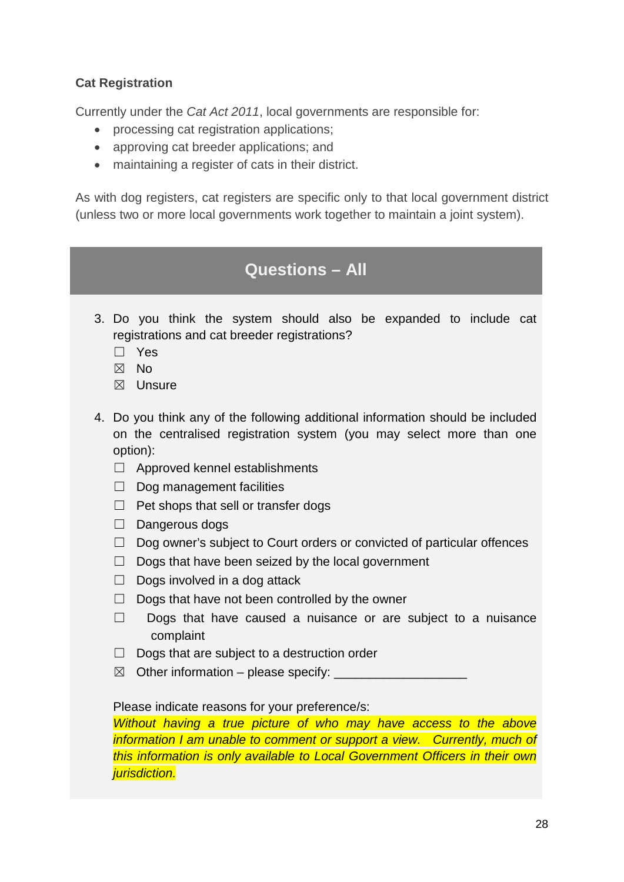### **Cat Registration**

Currently under the *Cat Act 2011*, local governments are responsible for:

- processing cat registration applications;
- approving cat breeder applications; and
- maintaining a register of cats in their district.

As with dog registers, cat registers are specific only to that local government district (unless two or more local governments work together to maintain a joint system).

## **Questions – All**

- 3. Do you think the system should also be expanded to include cat registrations and cat breeder registrations?
	- ☐ Yes
	- ☒ No
	- ☒ Unsure
- 4. Do you think any of the following additional information should be included on the centralised registration system (you may select more than one option):
	- ☐ Approved kennel establishments
	- □ Dog management facilities
	- ☐ Pet shops that sell or transfer dogs
	- □ Dangerous dogs
	- $\Box$  Dog owner's subject to Court orders or convicted of particular offences
	- $\Box$  Dogs that have been seized by the local government
	- $\Box$  Dogs involved in a dog attack
	- $\Box$  Dogs that have not been controlled by the owner
	- ☐ Dogs that have caused a nuisance or are subject to a nuisance complaint
	- □ Dogs that are subject to a destruction order
	- $\boxtimes$  Other information please specify:

#### Please indicate reasons for your preference/s:

*Without having a true picture of who may have access to the above information I am unable to comment or support a view. Currently, much of this information is only available to Local Government Officers in their own jurisdiction.*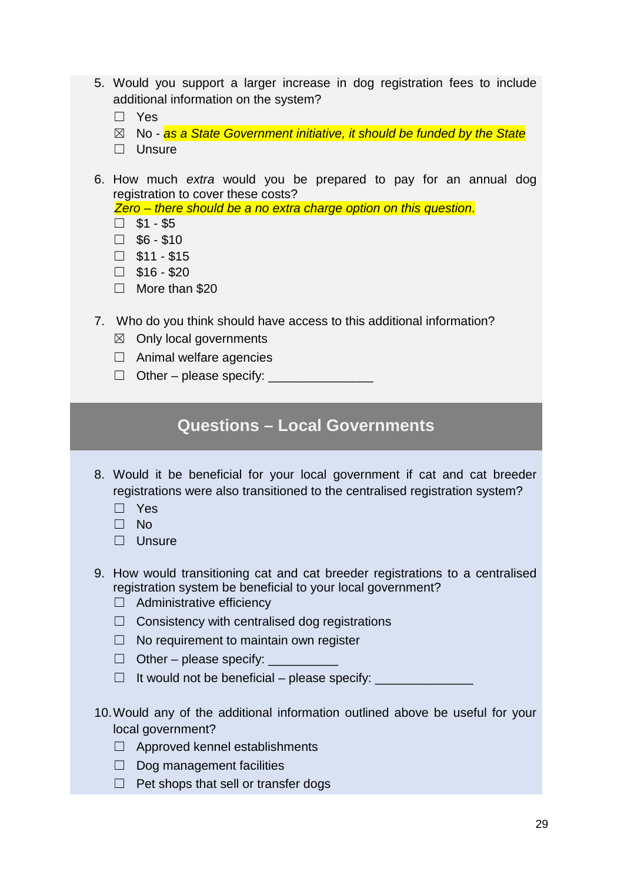- 5. Would you support a larger increase in dog registration fees to include additional information on the system?
	- ☐ Yes
	- ☒ No *as a State Government initiative, it should be funded by the State*
	- □ Unsure
- 6. How much *extra* would you be prepared to pay for an annual dog registration to cover these costs?

*Zero – there should be a no extra charge option on this question*.

- $\square$  \$1 \$5
- $\square$  \$6 \$10
- $\square$  \$11 \$15
- $\square$  \$16 \$20
- ☐ More than \$20
- 7. Who do you think should have access to this additional information?
	- $\boxtimes$  Only local governments
	- $\Box$  Animal welfare agencies
	- $\Box$  Other please specify:  $\Box$

### **Questions – Local Governments**

- 8. Would it be beneficial for your local government if cat and cat breeder registrations were also transitioned to the centralised registration system?
	- ☐ Yes
	- ☐ No
	- ☐ Unsure
- 9. How would transitioning cat and cat breeder registrations to a centralised registration system be beneficial to your local government?
	- ☐ Administrative efficiency
	- $\Box$  Consistency with centralised dog registrations
	- $\Box$  No requirement to maintain own register
	- $\Box$  Other please specify:
	- $\Box$  It would not be beneficial please specify:  $\Box$
- 10.Would any of the additional information outlined above be useful for your local government?
	- ☐ Approved kennel establishments
	- □ Dog management facilities
	- $\Box$  Pet shops that sell or transfer dogs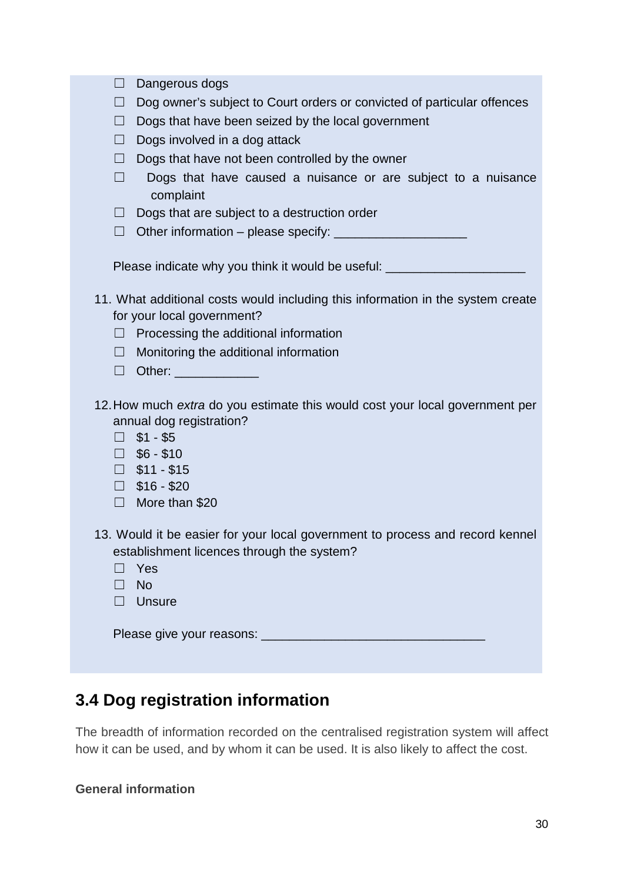| $\Box$ | Dangerous dogs                                                                                                                                                                                                  |
|--------|-----------------------------------------------------------------------------------------------------------------------------------------------------------------------------------------------------------------|
| $\Box$ | Dog owner's subject to Court orders or convicted of particular offences                                                                                                                                         |
| $\Box$ | Dogs that have been seized by the local government                                                                                                                                                              |
| $\Box$ | Dogs involved in a dog attack                                                                                                                                                                                   |
| $\Box$ | Dogs that have not been controlled by the owner                                                                                                                                                                 |
| $\Box$ | Dogs that have caused a nuisance or are subject to a nuisance<br>complaint                                                                                                                                      |
| $\Box$ | Dogs that are subject to a destruction order                                                                                                                                                                    |
| $\Box$ |                                                                                                                                                                                                                 |
|        | Please indicate why you think it would be useful: ______________________________                                                                                                                                |
|        | 11. What additional costs would including this information in the system create                                                                                                                                 |
|        | for your local government?                                                                                                                                                                                      |
| $\Box$ | Processing the additional information                                                                                                                                                                           |
| $\Box$ | Monitoring the additional information                                                                                                                                                                           |
| $\Box$ | Other: _______________                                                                                                                                                                                          |
| $\Box$ | 12. How much extra do you estimate this would cost your local government per<br>annual dog registration?<br>$\Box$ \$1 - \$5<br>$\Box$ \$6 - \$10<br>$\Box$ \$11 - \$15<br>$\Box$ \$16 - \$20<br>More than \$20 |
| $\Box$ | 13. Would it be easier for your local government to process and record kennel<br>establishment licences through the system?<br>Yes<br><b>No</b><br>$\Box$ Unsure                                                |
|        |                                                                                                                                                                                                                 |

# **3.4 Dog registration information**

The breadth of information recorded on the centralised registration system will affect how it can be used, and by whom it can be used. It is also likely to affect the cost.

### **General information**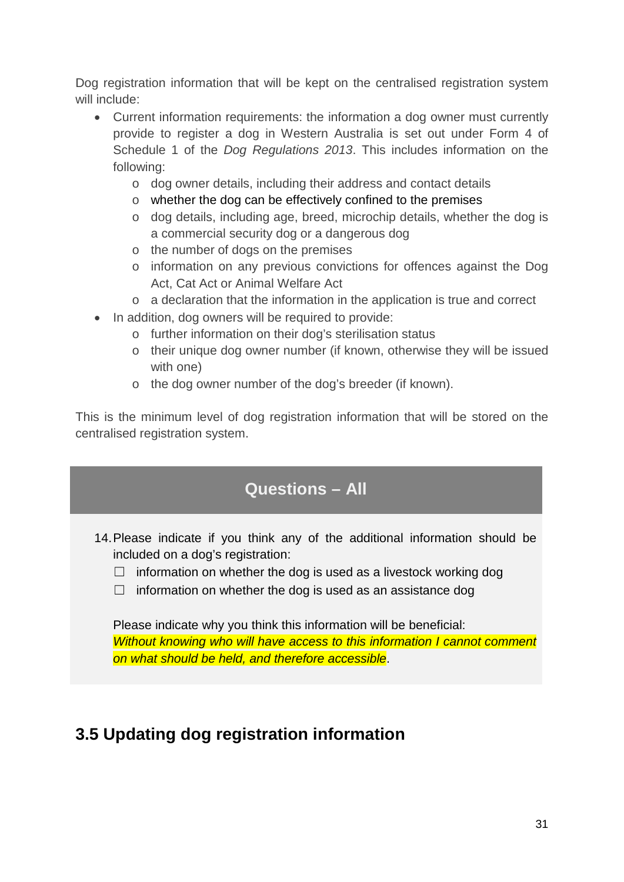Dog registration information that will be kept on the centralised registration system will include:

- Current information requirements: the information a dog owner must currently provide to register a dog in Western Australia is set out under Form 4 of Schedule 1 of the *Dog Regulations 2013*. This includes information on the following:
	- o dog owner details, including their address and contact details
	- o whether the dog can be effectively confined to the premises
	- o dog details, including age, breed, microchip details, whether the dog is a commercial security dog or a dangerous dog
	- o the number of dogs on the premises
	- o information on any previous convictions for offences against the Dog Act, Cat Act or Animal Welfare Act
	- o a declaration that the information in the application is true and correct
- In addition, dog owners will be required to provide:
	- o further information on their dog's sterilisation status
	- o their unique dog owner number (if known, otherwise they will be issued with one)
	- o the dog owner number of the dog's breeder (if known).

This is the minimum level of dog registration information that will be stored on the centralised registration system.

## **Questions – All**

- 14.Please indicate if you think any of the additional information should be included on a dog's registration:
	- $\Box$  information on whether the dog is used as a livestock working dog
	- □ information on whether the dog is used as an assistance dog

Please indicate why you think this information will be beneficial: *Without knowing who will have access to this information I cannot comment on what should be held, and therefore accessible*.

# **3.5 Updating dog registration information**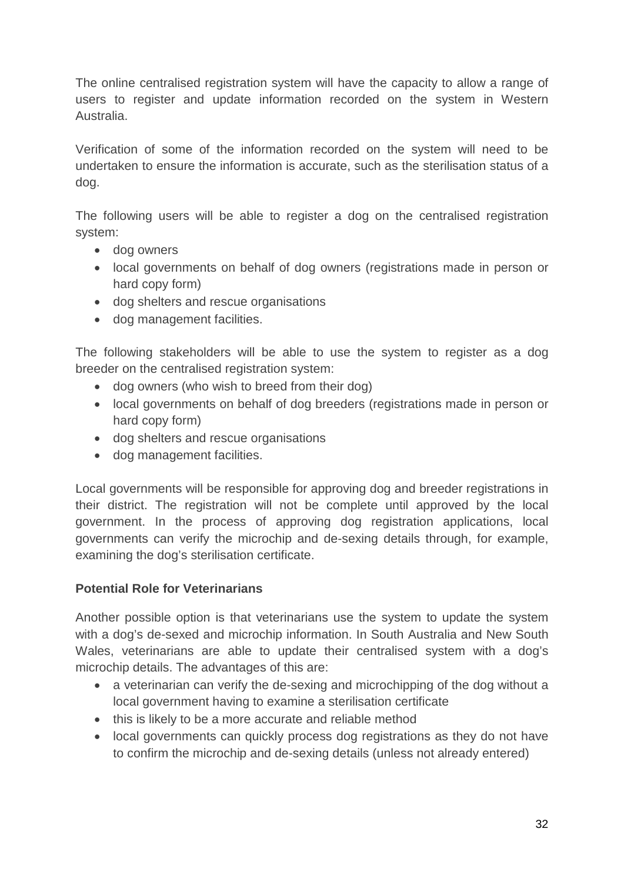The online centralised registration system will have the capacity to allow a range of users to register and update information recorded on the system in Western Australia.

Verification of some of the information recorded on the system will need to be undertaken to ensure the information is accurate, such as the sterilisation status of a dog.

The following users will be able to register a dog on the centralised registration system:

- dog owners
- local governments on behalf of dog owners (registrations made in person or hard copy form)
- dog shelters and rescue organisations
- dog management facilities.

The following stakeholders will be able to use the system to register as a dog breeder on the centralised registration system:

- dog owners (who wish to breed from their dog)
- local governments on behalf of dog breeders (registrations made in person or hard copy form)
- dog shelters and rescue organisations
- dog management facilities.

Local governments will be responsible for approving dog and breeder registrations in their district. The registration will not be complete until approved by the local government. In the process of approving dog registration applications, local governments can verify the microchip and de-sexing details through, for example, examining the dog's sterilisation certificate.

### **Potential Role for Veterinarians**

Another possible option is that veterinarians use the system to update the system with a dog's de-sexed and microchip information. In South Australia and New South Wales, veterinarians are able to update their centralised system with a dog's microchip details. The advantages of this are:

- a veterinarian can verify the de-sexing and microchipping of the dog without a local government having to examine a sterilisation certificate
- this is likely to be a more accurate and reliable method
- local governments can quickly process dog registrations as they do not have to confirm the microchip and de-sexing details (unless not already entered)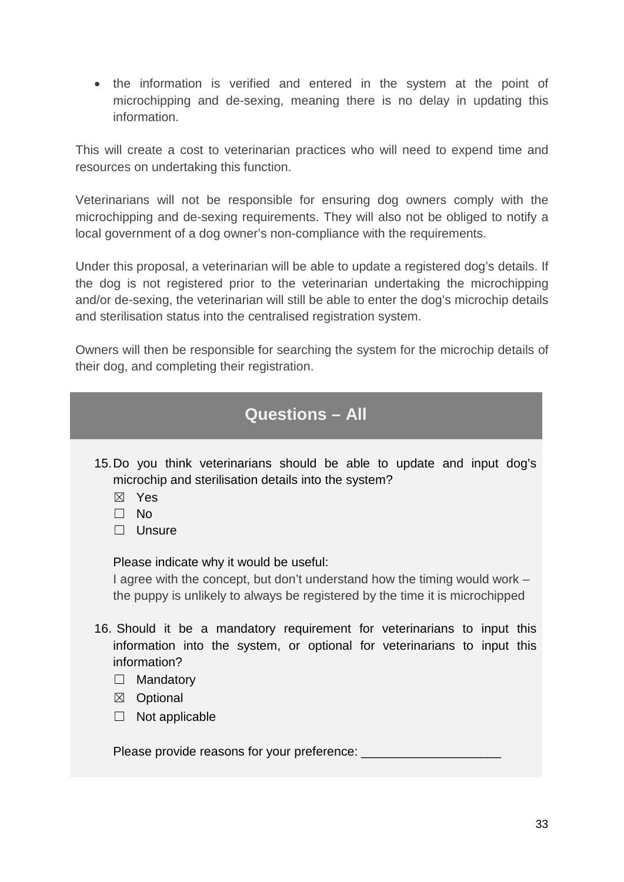• the information is verified and entered in the system at the point of microchipping and de-sexing, meaning there is no delay in updating this information.

This will create a cost to veterinarian practices who will need to expend time and resources on undertaking this function.

Veterinarians will not be responsible for ensuring dog owners comply with the microchipping and de-sexing requirements. They will also not be obliged to notify a local government of a dog owner's non-compliance with the requirements.

Under this proposal, a veterinarian will be able to update a registered dog's details. If the dog is not registered prior to the veterinarian undertaking the microchipping and/or de-sexing, the veterinarian will still be able to enter the dog's microchip details and sterilisation status into the centralised registration system.

Owners will then be responsible for searching the system for the microchip details of their dog, and completing their registration.

# **Questions – All**

- 15.Do you think veterinarians should be able to update and input dog's microchip and sterilisation details into the system?
	- ☒ Yes
	- ☐ No
	- ☐ Unsure

Please indicate why it would be useful:

I agree with the concept, but don't understand how the timing would work – the puppy is unlikely to always be registered by the time it is microchipped

- 16. Should it be a mandatory requirement for veterinarians to input this information into the system, or optional for veterinarians to input this information?
	- □ Mandatory
	- ☒ Optional
	- $\Box$  Not applicable

Please provide reasons for your preference: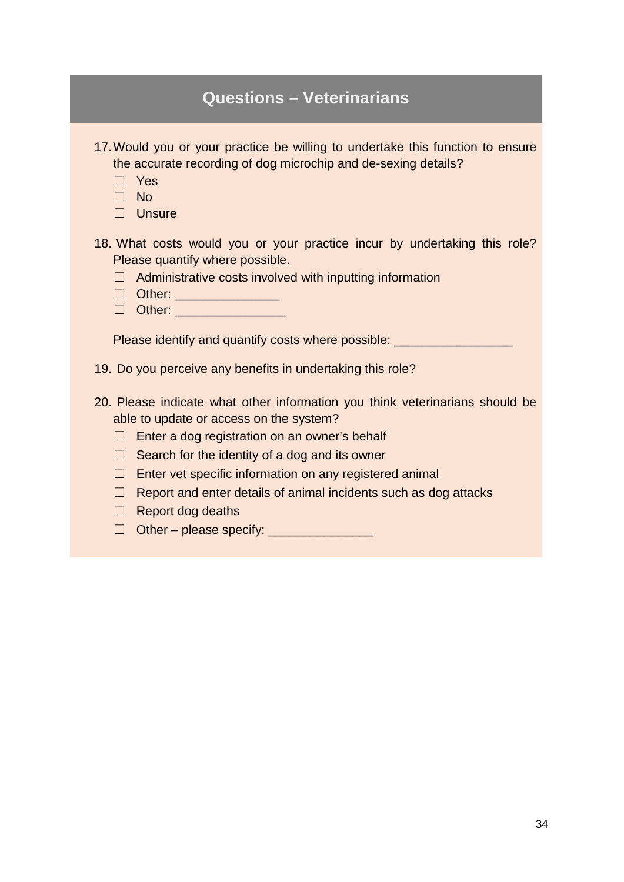| <b>Questions - Veterinarians</b>                                                                                                                                                                                                                                                                                                                                                                                                             |
|----------------------------------------------------------------------------------------------------------------------------------------------------------------------------------------------------------------------------------------------------------------------------------------------------------------------------------------------------------------------------------------------------------------------------------------------|
| 17. Would you or your practice be willing to undertake this function to ensure<br>the accurate recording of dog microchip and de-sexing details?<br>$\Box$ Yes<br>$\square$ No<br>$\Box$ Unsure                                                                                                                                                                                                                                              |
| 18. What costs would you or your practice incur by undertaking this role?<br>Please quantify where possible.<br>Administrative costs involved with inputting information<br>$\Box$                                                                                                                                                                                                                                                           |
| Please identify and quantify costs where possible:                                                                                                                                                                                                                                                                                                                                                                                           |
| 19. Do you perceive any benefits in undertaking this role?                                                                                                                                                                                                                                                                                                                                                                                   |
| 20. Please indicate what other information you think veterinarians should be<br>able to update or access on the system?<br>Enter a dog registration on an owner's behalf<br>$\Box$<br>Search for the identity of a dog and its owner<br>$\Box$<br>Enter vet specific information on any registered animal<br>$\Box$<br>Report and enter details of animal incidents such as dog attacks<br>$\Box$<br><b>Report dog deaths</b><br>□<br>$\Box$ |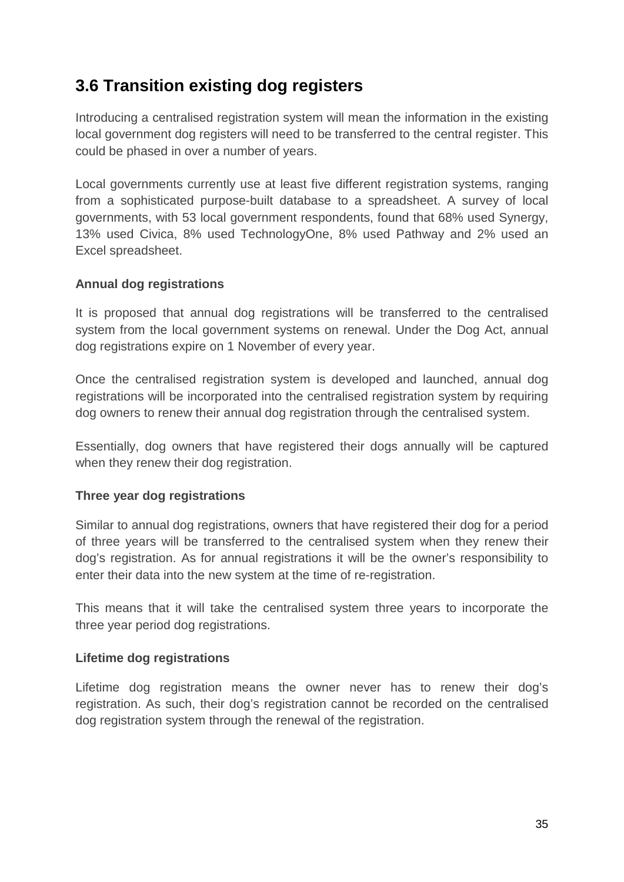# **3.6 Transition existing dog registers**

Introducing a centralised registration system will mean the information in the existing local government dog registers will need to be transferred to the central register. This could be phased in over a number of years.

Local governments currently use at least five different registration systems, ranging from a sophisticated purpose-built database to a spreadsheet. A survey of local governments, with 53 local government respondents, found that 68% used Synergy, 13% used Civica, 8% used TechnologyOne, 8% used Pathway and 2% used an Excel spreadsheet.

### **Annual dog registrations**

It is proposed that annual dog registrations will be transferred to the centralised system from the local government systems on renewal. Under the Dog Act, annual dog registrations expire on 1 November of every year.

Once the centralised registration system is developed and launched, annual dog registrations will be incorporated into the centralised registration system by requiring dog owners to renew their annual dog registration through the centralised system.

Essentially, dog owners that have registered their dogs annually will be captured when they renew their dog registration.

### **Three year dog registrations**

Similar to annual dog registrations, owners that have registered their dog for a period of three years will be transferred to the centralised system when they renew their dog's registration. As for annual registrations it will be the owner's responsibility to enter their data into the new system at the time of re-registration.

This means that it will take the centralised system three years to incorporate the three year period dog registrations.

### **Lifetime dog registrations**

Lifetime dog registration means the owner never has to renew their dog's registration. As such, their dog's registration cannot be recorded on the centralised dog registration system through the renewal of the registration.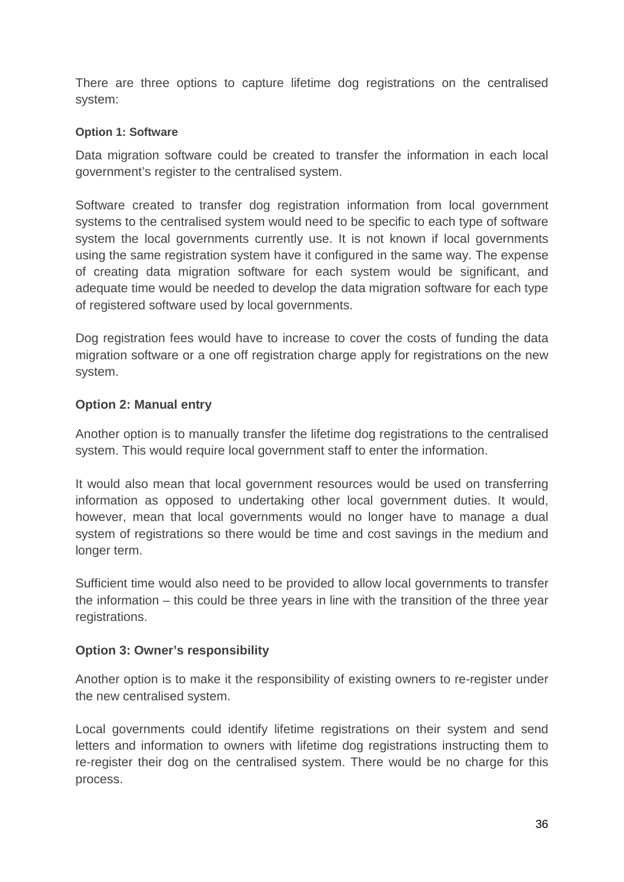There are three options to capture lifetime dog registrations on the centralised system:

### **Option 1: Software**

Data migration software could be created to transfer the information in each local government's register to the centralised system.

Software created to transfer dog registration information from local government systems to the centralised system would need to be specific to each type of software system the local governments currently use. It is not known if local governments using the same registration system have it configured in the same way. The expense of creating data migration software for each system would be significant, and adequate time would be needed to develop the data migration software for each type of registered software used by local governments.

Dog registration fees would have to increase to cover the costs of funding the data migration software or a one off registration charge apply for registrations on the new system.

### **Option 2: Manual entry**

Another option is to manually transfer the lifetime dog registrations to the centralised system. This would require local government staff to enter the information.

It would also mean that local government resources would be used on transferring information as opposed to undertaking other local government duties. It would, however, mean that local governments would no longer have to manage a dual system of registrations so there would be time and cost savings in the medium and longer term.

Sufficient time would also need to be provided to allow local governments to transfer the information – this could be three years in line with the transition of the three year registrations.

### **Option 3: Owner's responsibility**

Another option is to make it the responsibility of existing owners to re-register under the new centralised system.

Local governments could identify lifetime registrations on their system and send letters and information to owners with lifetime dog registrations instructing them to re-register their dog on the centralised system. There would be no charge for this process.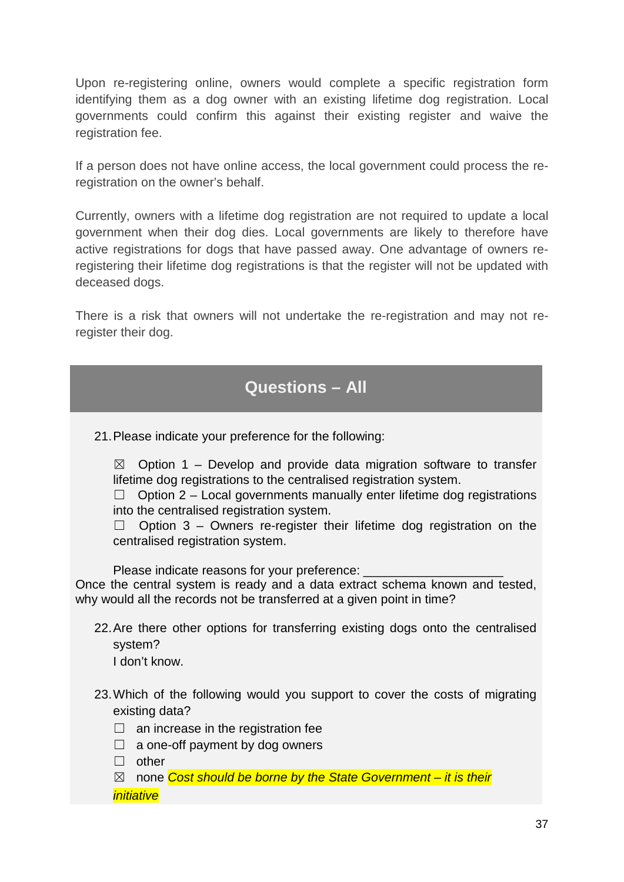Upon re-registering online, owners would complete a specific registration form identifying them as a dog owner with an existing lifetime dog registration. Local governments could confirm this against their existing register and waive the registration fee.

If a person does not have online access, the local government could process the reregistration on the owner's behalf.

Currently, owners with a lifetime dog registration are not required to update a local government when their dog dies. Local governments are likely to therefore have active registrations for dogs that have passed away. One advantage of owners reregistering their lifetime dog registrations is that the register will not be updated with deceased dogs.

There is a risk that owners will not undertake the re-registration and may not reregister their dog.

## **Questions – All**

21.Please indicate your preference for the following:

 $\boxtimes$  Option 1 – Develop and provide data migration software to transfer lifetime dog registrations to the centralised registration system.

 $\Box$  Option 2 – Local governments manually enter lifetime dog registrations into the centralised registration system.

 $\Box$  Option 3 – Owners re-register their lifetime dog registration on the centralised registration system.

Please indicate reasons for your preference:

Once the central system is ready and a data extract schema known and tested, why would all the records not be transferred at a given point in time?

22.Are there other options for transferring existing dogs onto the centralised system?

I don't know.

- 23.Which of the following would you support to cover the costs of migrating existing data?
	- $\Box$  an increase in the registration fee
	- $\Box$  a one-off payment by dog owners

☐ other

☒ none *Cost should be borne by the State Government – it is their initiative*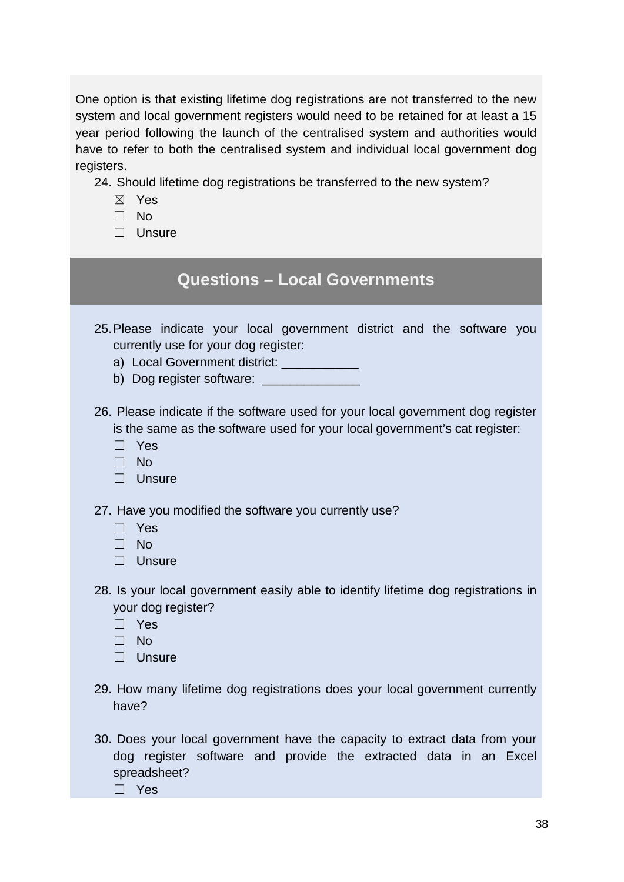One option is that existing lifetime dog registrations are not transferred to the new system and local government registers would need to be retained for at least a 15 year period following the launch of the centralised system and authorities would have to refer to both the centralised system and individual local government dog registers.

24. Should lifetime dog registrations be transferred to the new system?

- ☒ Yes
- ☐ No
- ☐ Unsure

## **Questions – Local Governments**

- 25.Please indicate your local government district and the software you currently use for your dog register:
	- a) Local Government district:
	- b) Dog register software: \_\_\_\_\_\_\_\_\_

26. Please indicate if the software used for your local government dog register is the same as the software used for your local government's cat register:

- ☐ Yes
- ☐ No
- □ Unsure

27. Have you modified the software you currently use?

- ☐ Yes
- ☐ No
- ☐ Unsure
- 28. Is your local government easily able to identify lifetime dog registrations in your dog register?
	- ☐ Yes
	- ☐ No
	- ☐ Unsure
- 29. How many lifetime dog registrations does your local government currently have?
- 30. Does your local government have the capacity to extract data from your dog register software and provide the extracted data in an Excel spreadsheet?

☐ Yes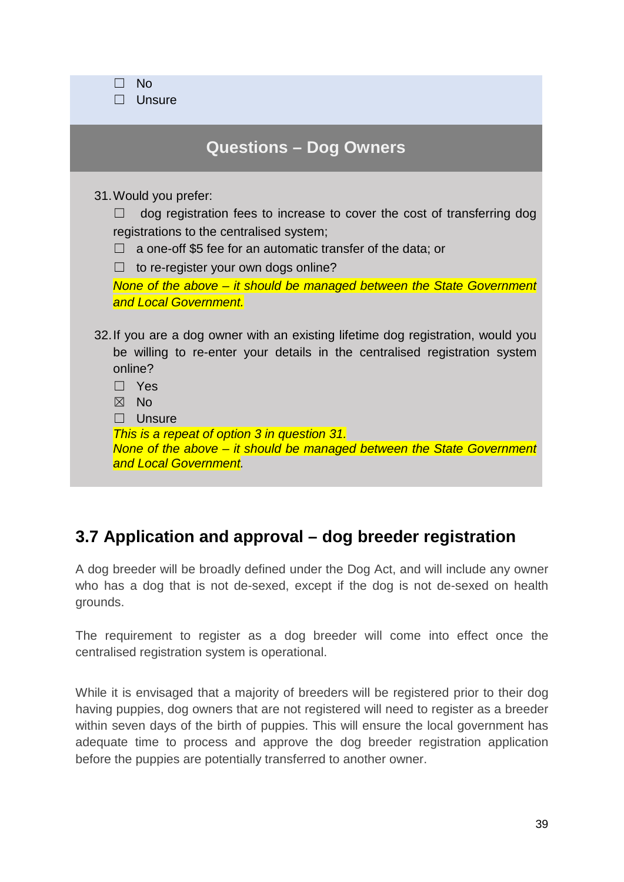| <b>No</b><br><b>Unsure</b>                                                                                                                                                                                                                                                                                                                                          |
|---------------------------------------------------------------------------------------------------------------------------------------------------------------------------------------------------------------------------------------------------------------------------------------------------------------------------------------------------------------------|
| <b>Questions - Dog Owners</b>                                                                                                                                                                                                                                                                                                                                       |
| 31. Would you prefer:<br>dog registration fees to increase to cover the cost of transferring dog<br>registrations to the centralised system;<br>a one-off \$5 fee for an automatic transfer of the data; or<br>$\Box$<br>to re-register your own dogs online?<br>None of the above – it should be managed between the State Government<br>and Local Government.     |
| 32. If you are a dog owner with an existing lifetime dog registration, would you<br>be willing to re-enter your details in the centralised registration system<br>online?<br>Yes<br>$\boxtimes$<br>- No<br>Unsure<br>This is a repeat of option 3 in question 31.<br>None of the above – it should be managed between the State Government<br>and Local Government. |

# **3.7 Application and approval – dog breeder registration**

A dog breeder will be broadly defined under the Dog Act, and will include any owner who has a dog that is not de-sexed, except if the dog is not de-sexed on health grounds.

The requirement to register as a dog breeder will come into effect once the centralised registration system is operational.

While it is envisaged that a majority of breeders will be registered prior to their dog having puppies, dog owners that are not registered will need to register as a breeder within seven days of the birth of puppies. This will ensure the local government has adequate time to process and approve the dog breeder registration application before the puppies are potentially transferred to another owner.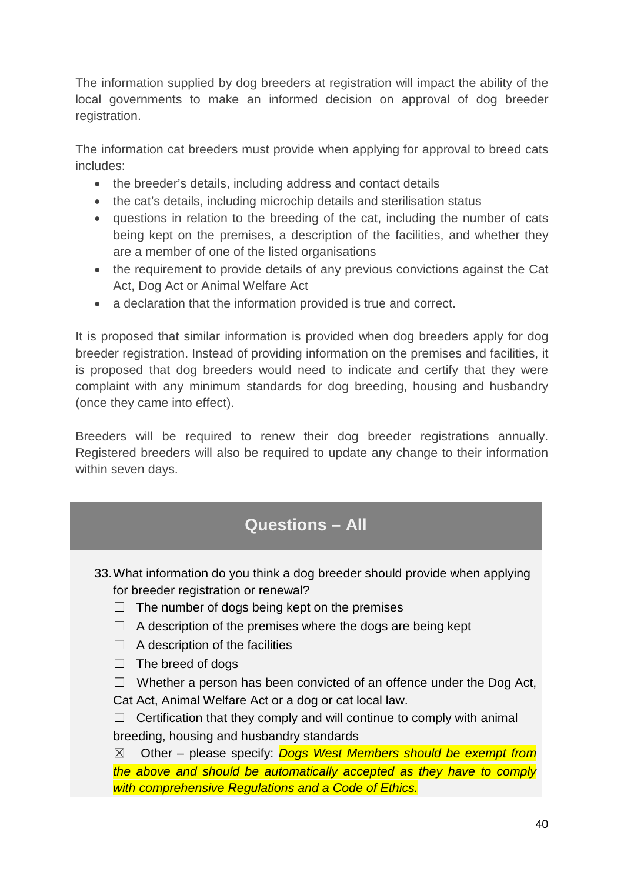The information supplied by dog breeders at registration will impact the ability of the local governments to make an informed decision on approval of dog breeder registration.

The information cat breeders must provide when applying for approval to breed cats includes:

- the breeder's details, including address and contact details
- the cat's details, including microchip details and sterilisation status
- questions in relation to the breeding of the cat, including the number of cats being kept on the premises, a description of the facilities, and whether they are a member of one of the listed organisations
- the requirement to provide details of any previous convictions against the Cat Act, Dog Act or Animal Welfare Act
- a declaration that the information provided is true and correct.

It is proposed that similar information is provided when dog breeders apply for dog breeder registration. Instead of providing information on the premises and facilities, it is proposed that dog breeders would need to indicate and certify that they were complaint with any minimum standards for dog breeding, housing and husbandry (once they came into effect).

Breeders will be required to renew their dog breeder registrations annually. Registered breeders will also be required to update any change to their information within seven days.

# **Questions – All**

- 33.What information do you think a dog breeder should provide when applying for breeder registration or renewal?
	- $\Box$  The number of dogs being kept on the premises
	- $\Box$  A description of the premises where the dogs are being kept
	- $\Box$  A description of the facilities
	- ☐ The breed of dogs

 $\Box$  Whether a person has been convicted of an offence under the Dog Act, Cat Act, Animal Welfare Act or a dog or cat local law.

 $\Box$  Certification that they comply and will continue to comply with animal breeding, housing and husbandry standards

☒ Other – please specify: *Dogs West Members should be exempt from the above and should be automatically accepted as they have to comply with comprehensive Regulations and a Code of Ethics.*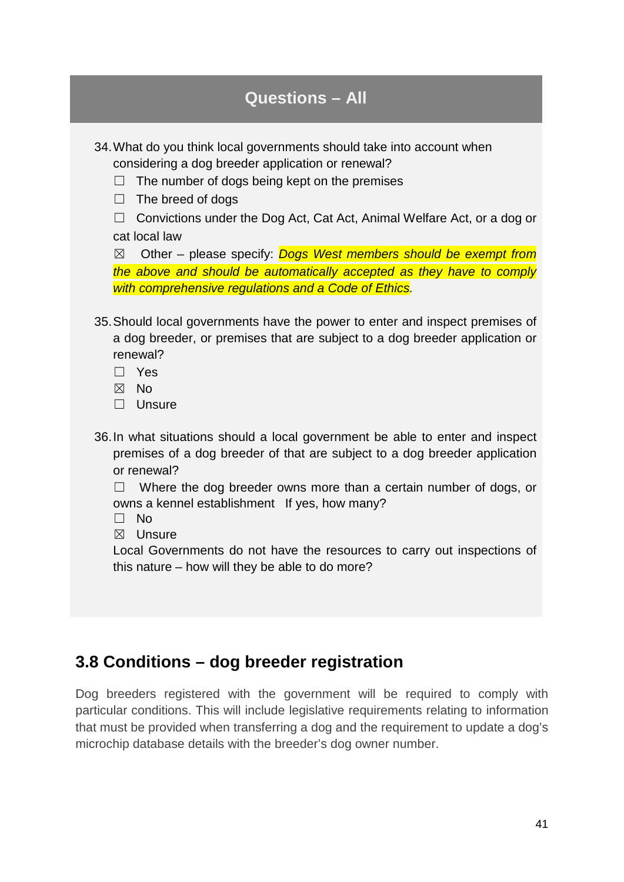34.What do you think local governments should take into account when considering a dog breeder application or renewal?

- $\Box$  The number of dogs being kept on the premises
- $\Box$  The breed of dogs

□ Convictions under the Dog Act, Cat Act, Animal Welfare Act, or a dog or cat local law

☒ Other – please specify: *Dogs West members should be exempt from the above and should be automatically accepted as they have to comply with comprehensive regulations and a Code of Ethics.*

- 35.Should local governments have the power to enter and inspect premises of a dog breeder, or premises that are subject to a dog breeder application or renewal?
	- ☐ Yes
	- ☒ No
	- ☐ Unsure
- 36.In what situations should a local government be able to enter and inspect premises of a dog breeder of that are subject to a dog breeder application or renewal?

☐ Where the dog breeder owns more than a certain number of dogs, or owns a kennel establishment If yes, how many?

- ☐ No
- ☒ Unsure

Local Governments do not have the resources to carry out inspections of this nature – how will they be able to do more?

## **3.8 Conditions – dog breeder registration**

Dog breeders registered with the government will be required to comply with particular conditions. This will include legislative requirements relating to information that must be provided when transferring a dog and the requirement to update a dog's microchip database details with the breeder's dog owner number.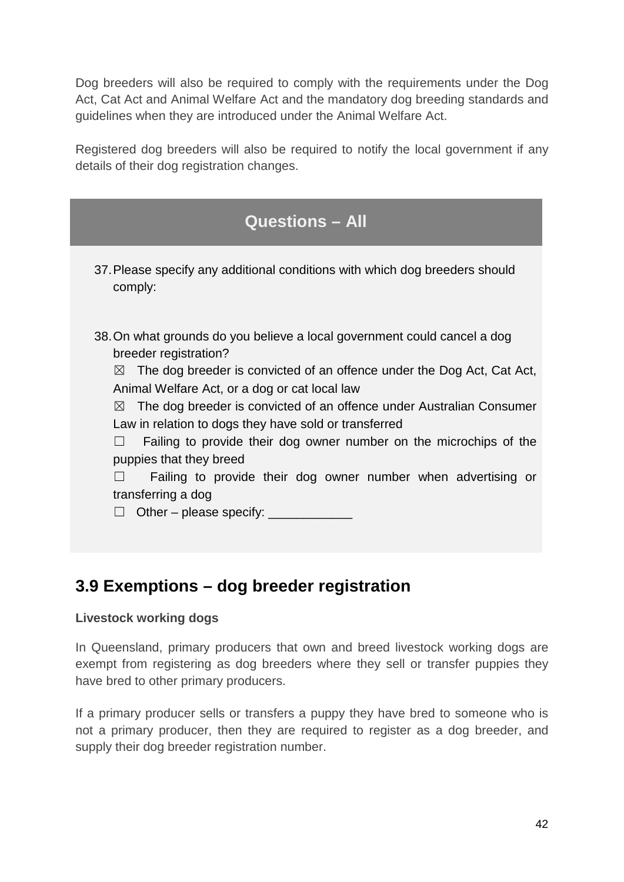Dog breeders will also be required to comply with the requirements under the Dog Act, Cat Act and Animal Welfare Act and the mandatory dog breeding standards and guidelines when they are introduced under the Animal Welfare Act.

Registered dog breeders will also be required to notify the local government if any details of their dog registration changes.



# **3.9 Exemptions – dog breeder registration**

### **Livestock working dogs**

In Queensland, primary producers that own and breed livestock working dogs are exempt from registering as dog breeders where they sell or transfer puppies they have bred to other primary producers.

If a primary producer sells or transfers a puppy they have bred to someone who is not a primary producer, then they are required to register as a dog breeder, and supply their dog breeder registration number.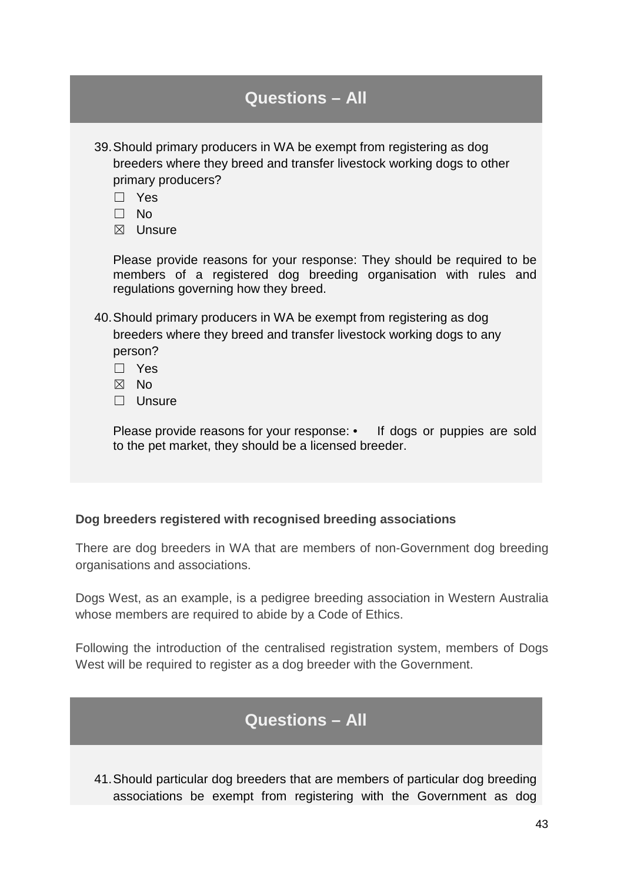| <b>Questions - All</b>                                                                                                                                                                                         |
|----------------------------------------------------------------------------------------------------------------------------------------------------------------------------------------------------------------|
| 39. Should primary producers in WA be exempt from registering as dog<br>breeders where they breed and transfer livestock working dogs to other<br>primary producers?<br>Yes<br>$\Box$ No<br>$\boxtimes$ Unsure |
| Please provide reasons for your response: They should be required to be<br>members of a registered dog breeding organisation with rules and<br>regulations governing how they breed.                           |
| 40. Should primary producers in WA be exempt from registering as dog<br>breeders where they breed and transfer livestock working dogs to any<br>person?<br>$\Box$ Yes<br>$\boxtimes$ No<br>$\Box$ Unsure       |
| Please provide reasons for your response: • If dogs or puppies are sold<br>to the pet market, they should be a licensed breeder.                                                                               |

### **Dog breeders registered with recognised breeding associations**

There are dog breeders in WA that are members of non-Government dog breeding organisations and associations.

Dogs West, as an example, is a pedigree breeding association in Western Australia whose members are required to abide by a Code of Ethics.

Following the introduction of the centralised registration system, members of Dogs West will be required to register as a dog breeder with the Government.

## **Questions – All**

41.Should particular dog breeders that are members of particular dog breeding associations be exempt from registering with the Government as dog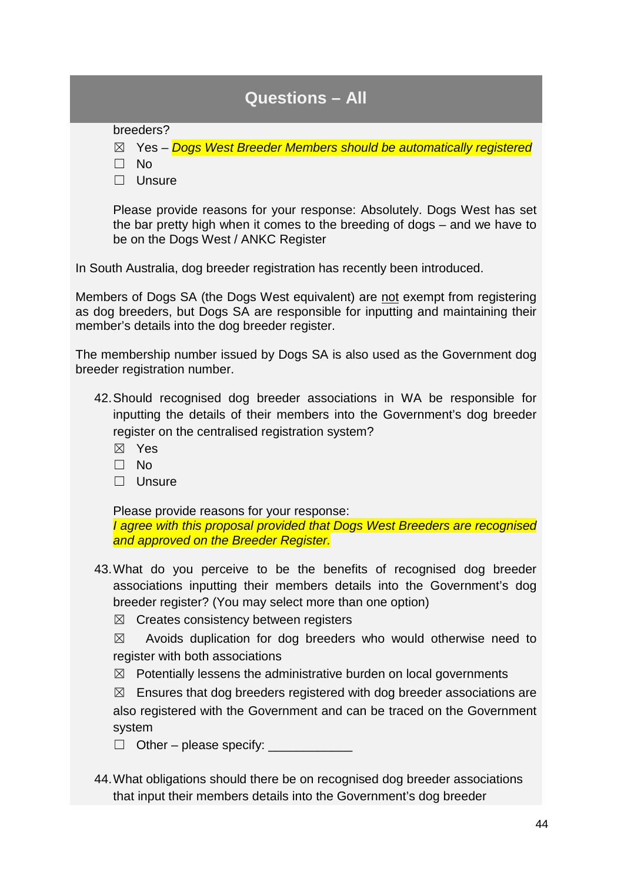breeders?

☒ Yes *– Dogs West Breeder Members should be automatically registered*

☐ No

☐ Unsure

Please provide reasons for your response: Absolutely. Dogs West has set the bar pretty high when it comes to the breeding of dogs – and we have to be on the Dogs West / ANKC Register

In South Australia, dog breeder registration has recently been introduced.

Members of Dogs SA (the Dogs West equivalent) are not exempt from registering as dog breeders, but Dogs SA are responsible for inputting and maintaining their member's details into the dog breeder register.

The membership number issued by Dogs SA is also used as the Government dog breeder registration number.

- 42.Should recognised dog breeder associations in WA be responsible for inputting the details of their members into the Government's dog breeder register on the centralised registration system?
	- ☒ Yes
	- ☐ No
	- ☐ Unsure

Please provide reasons for your response:

*I agree with this proposal provided that Dogs West Breeders are recognised and approved on the Breeder Register.*

43.What do you perceive to be the benefits of recognised dog breeder associations inputting their members details into the Government's dog breeder register? (You may select more than one option)

 $\boxtimes$  Creates consistency between registers

 $\boxtimes$  Avoids duplication for dog breeders who would otherwise need to register with both associations

 $\boxtimes$  Potentially lessens the administrative burden on local governments

 $\boxtimes$  Ensures that dog breeders registered with dog breeder associations are also registered with the Government and can be traced on the Government system

☐ Other – please specify: \_\_\_\_\_\_\_\_\_\_\_\_

44.What obligations should there be on recognised dog breeder associations that input their members details into the Government's dog breeder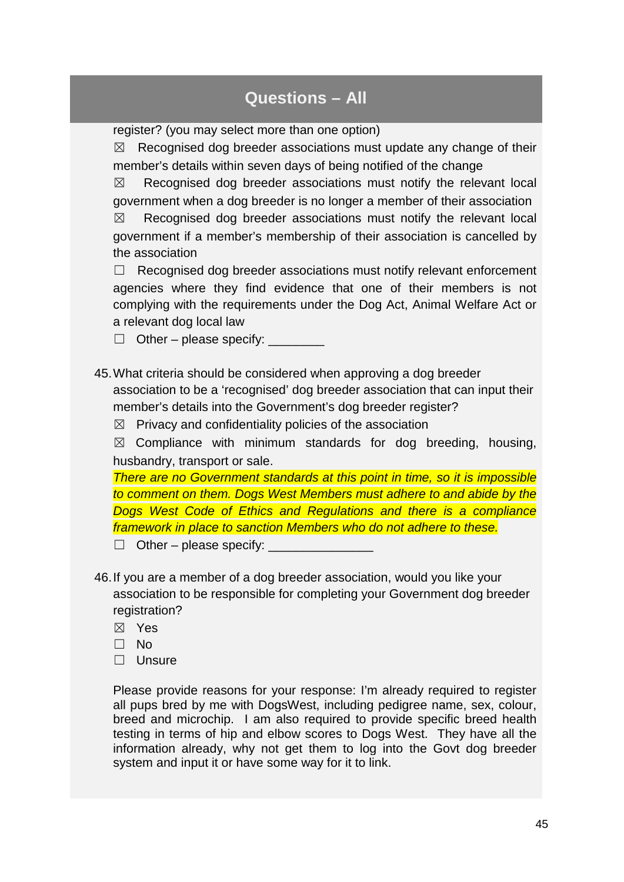register? (you may select more than one option)

 $\boxtimes$  Recognised dog breeder associations must update any change of their member's details within seven days of being notified of the change

 $\boxtimes$  Recognised dog breeder associations must notify the relevant local government when a dog breeder is no longer a member of their association

 $\boxtimes$  Recognised dog breeder associations must notify the relevant local government if a member's membership of their association is cancelled by the association

 $\Box$  Recognised dog breeder associations must notify relevant enforcement agencies where they find evidence that one of their members is not complying with the requirements under the Dog Act, Animal Welfare Act or a relevant dog local law

 $\Box$  Other – please specify:

45.What criteria should be considered when approving a dog breeder association to be a 'recognised' dog breeder association that can input their member's details into the Government's dog breeder register?

 $\boxtimes$  Privacy and confidentiality policies of the association

 $\boxtimes$  Compliance with minimum standards for dog breeding, housing, husbandry, transport or sale.

*There are no Government standards at this point in time, so it is impossible to comment on them. Dogs West Members must adhere to and abide by the Dogs West Code of Ethics and Regulations and there is a compliance framework in place to sanction Members who do not adhere to these.*

 $\Box$  Other – please specify:

- 46.If you are a member of a dog breeder association, would you like your association to be responsible for completing your Government dog breeder registration?
	- ☒ Yes
	- ☐ No
	- ☐ Unsure

Please provide reasons for your response: I'm already required to register all pups bred by me with DogsWest, including pedigree name, sex, colour, breed and microchip. I am also required to provide specific breed health testing in terms of hip and elbow scores to Dogs West. They have all the information already, why not get them to log into the Govt dog breeder system and input it or have some way for it to link.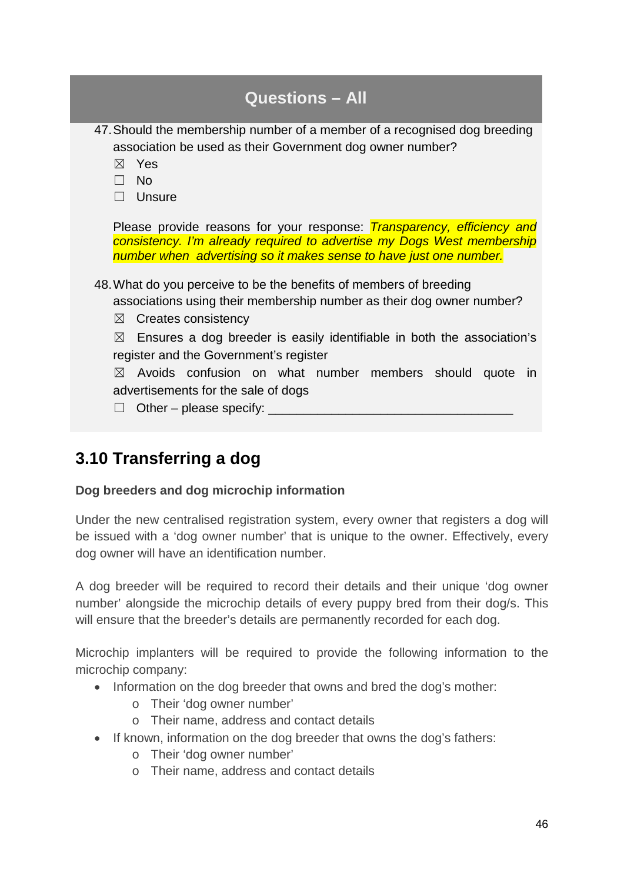| <b>Questions - All</b>                                                                                                                                                                                                                                                                                                                                                                                             |
|--------------------------------------------------------------------------------------------------------------------------------------------------------------------------------------------------------------------------------------------------------------------------------------------------------------------------------------------------------------------------------------------------------------------|
| 47. Should the membership number of a member of a recognised dog breeding<br>association be used as their Government dog owner number?<br>⊠<br>Yes<br>$\Box$ No<br>$\Box$ Unsure                                                                                                                                                                                                                                   |
| Please provide reasons for your response: <i>Transparency, efficiency and</i><br>consistency. I'm already required to advertise my Dogs West membership<br>number when advertising so it makes sense to have just one number.<br>48. What do you perceive to be the benefits of members of breeding<br>associations using their membership number as their dog owner number?<br>Creates consistency<br>$\boxtimes$ |
| Ensures a dog breeder is easily identifiable in both the association's<br>$\boxtimes$<br>register and the Government's register                                                                                                                                                                                                                                                                                    |
| Avoids confusion on what number members should quote in<br>$\boxtimes$<br>advertisements for the sale of dogs<br>Other – please specify:                                                                                                                                                                                                                                                                           |

# **3.10 Transferring a dog**

### **Dog breeders and dog microchip information**

Under the new centralised registration system, every owner that registers a dog will be issued with a 'dog owner number' that is unique to the owner. Effectively, every dog owner will have an identification number.

A dog breeder will be required to record their details and their unique 'dog owner number' alongside the microchip details of every puppy bred from their dog/s. This will ensure that the breeder's details are permanently recorded for each dog.

Microchip implanters will be required to provide the following information to the microchip company:

- Information on the dog breeder that owns and bred the dog's mother:
	- o Their 'dog owner number'
	- o Their name, address and contact details
- If known, information on the dog breeder that owns the dog's fathers:
	- o Their 'dog owner number'
	- o Their name, address and contact details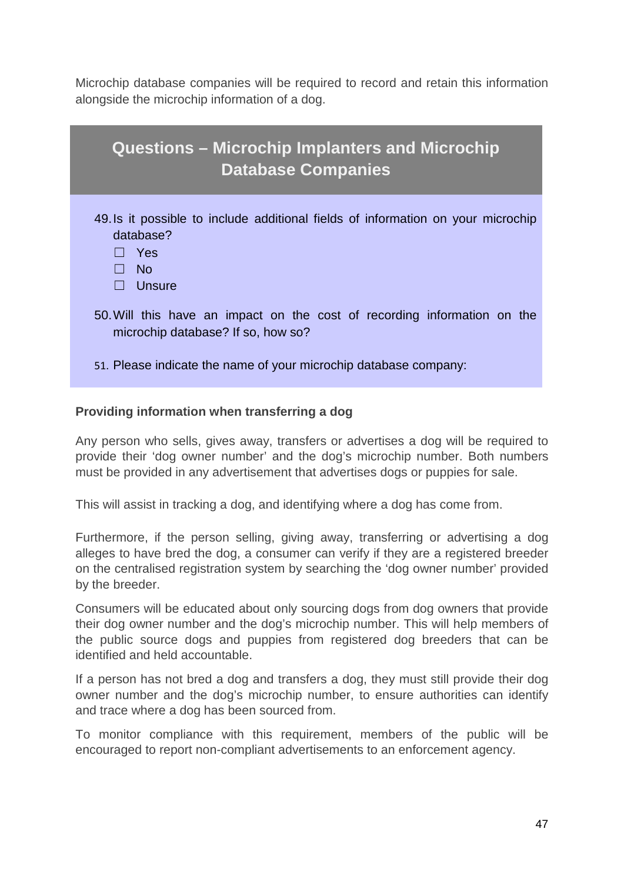Microchip database companies will be required to record and retain this information alongside the microchip information of a dog.

| <b>Questions - Microchip Implanters and Microchip</b><br><b>Database Companies</b>                                            |
|-------------------------------------------------------------------------------------------------------------------------------|
| 49. Is it possible to include additional fields of information on your microchip<br>database?<br>- Yes<br>$\Box$ No<br>Unsure |
| 50. Will this have an impact on the cost of recording information on the<br>microchip database? If so, how so?                |
| 51. Please indicate the name of your microchip database company:                                                              |

### **Providing information when transferring a dog**

Any person who sells, gives away, transfers or advertises a dog will be required to provide their 'dog owner number' and the dog's microchip number. Both numbers must be provided in any advertisement that advertises dogs or puppies for sale.

This will assist in tracking a dog, and identifying where a dog has come from.

Furthermore, if the person selling, giving away, transferring or advertising a dog alleges to have bred the dog, a consumer can verify if they are a registered breeder on the centralised registration system by searching the 'dog owner number' provided by the breeder.

Consumers will be educated about only sourcing dogs from dog owners that provide their dog owner number and the dog's microchip number. This will help members of the public source dogs and puppies from registered dog breeders that can be identified and held accountable.

If a person has not bred a dog and transfers a dog, they must still provide their dog owner number and the dog's microchip number, to ensure authorities can identify and trace where a dog has been sourced from.

To monitor compliance with this requirement, members of the public will be encouraged to report non-compliant advertisements to an enforcement agency.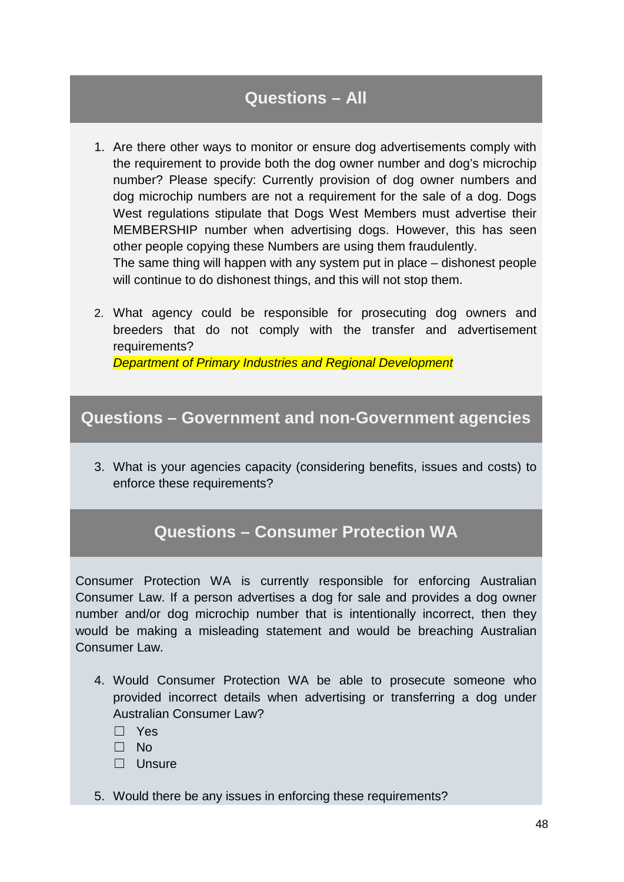1. Are there other ways to monitor or ensure dog advertisements comply with the requirement to provide both the dog owner number and dog's microchip number? Please specify: Currently provision of dog owner numbers and dog microchip numbers are not a requirement for the sale of a dog. Dogs West regulations stipulate that Dogs West Members must advertise their MEMBERSHIP number when advertising dogs. However, this has seen other people copying these Numbers are using them fraudulently.

The same thing will happen with any system put in place – dishonest people will continue to do dishonest things, and this will not stop them.

2. What agency could be responsible for prosecuting dog owners and breeders that do not comply with the transfer and advertisement requirements?

*Department of Primary Industries and Regional Development*

### **Questions – Government and non-Government agencies**

3. What is your agencies capacity (considering benefits, issues and costs) to enforce these requirements?

## **Questions – Consumer Protection WA**

Consumer Protection WA is currently responsible for enforcing Australian Consumer Law. If a person advertises a dog for sale and provides a dog owner number and/or dog microchip number that is intentionally incorrect, then they would be making a misleading statement and would be breaching Australian Consumer Law.

4. Would Consumer Protection WA be able to prosecute someone who provided incorrect details when advertising or transferring a dog under Australian Consumer Law?

☐ Yes

☐ No

☐ Unsure

5. Would there be any issues in enforcing these requirements?